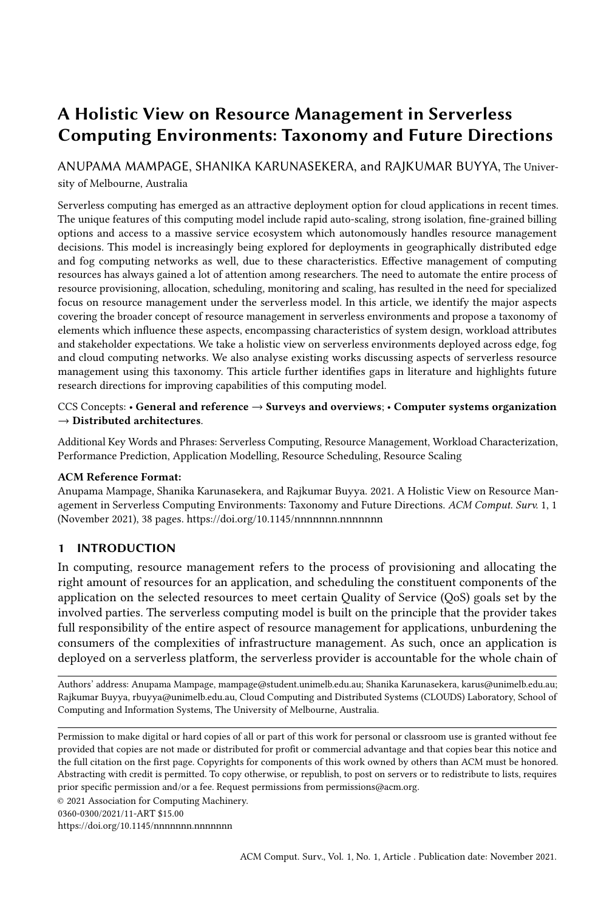# A Holistic View on Resource Management in Serverless Computing Environments: Taxonomy and Future Directions

ANUPAMA MAMPAGE, SHANIKA KARUNASEKERA, and RAJKUMAR BUYYA, The University of Melbourne, Australia

Serverless computing has emerged as an attractive deployment option for cloud applications in recent times. The unique features of this computing model include rapid auto-scaling, strong isolation, fine-grained billing options and access to a massive service ecosystem which autonomously handles resource management decisions. This model is increasingly being explored for deployments in geographically distributed edge and fog computing networks as well, due to these characteristics. Effective management of computing resources has always gained a lot of attention among researchers. The need to automate the entire process of resource provisioning, allocation, scheduling, monitoring and scaling, has resulted in the need for specialized focus on resource management under the serverless model. In this article, we identify the major aspects covering the broader concept of resource management in serverless environments and propose a taxonomy of elements which influence these aspects, encompassing characteristics of system design, workload attributes and stakeholder expectations. We take a holistic view on serverless environments deployed across edge, fog and cloud computing networks. We also analyse existing works discussing aspects of serverless resource management using this taxonomy. This article further identifies gaps in literature and highlights future research directions for improving capabilities of this computing model.

## CCS Concepts: • General and reference → Surveys and overviews; • Computer systems organization  $\rightarrow$  Distributed architectures.

Additional Key Words and Phrases: Serverless Computing, Resource Management, Workload Characterization, Performance Prediction, Application Modelling, Resource Scheduling, Resource Scaling

#### ACM Reference Format:

Anupama Mampage, Shanika Karunasekera, and Rajkumar Buyya. 2021. A Holistic View on Resource Management in Serverless Computing Environments: Taxonomy and Future Directions. ACM Comput. Surv. 1, 1 (November 2021), [38](#page-37-0) pages.<https://doi.org/10.1145/nnnnnnn.nnnnnnn>

## 1 INTRODUCTION

In computing, resource management refers to the process of provisioning and allocating the right amount of resources for an application, and scheduling the constituent components of the application on the selected resources to meet certain Quality of Service (QoS) goals set by the involved parties. The serverless computing model is built on the principle that the provider takes full responsibility of the entire aspect of resource management for applications, unburdening the consumers of the complexities of infrastructure management. As such, once an application is deployed on a serverless platform, the serverless provider is accountable for the whole chain of

Authors' address: Anupama Mampage, mampage@student.unimelb.edu.au; Shanika Karunasekera, karus@unimelb.edu.au; Rajkumar Buyya, rbuyya@unimelb.edu.au, Cloud Computing and Distributed Systems (CLOUDS) Laboratory, School of Computing and Information Systems, The University of Melbourne, Australia.

Permission to make digital or hard copies of all or part of this work for personal or classroom use is granted without fee provided that copies are not made or distributed for profit or commercial advantage and that copies bear this notice and the full citation on the first page. Copyrights for components of this work owned by others than ACM must be honored. Abstracting with credit is permitted. To copy otherwise, or republish, to post on servers or to redistribute to lists, requires prior specific permission and/or a fee. Request permissions from permissions@acm.org.

© 2021 Association for Computing Machinery.

0360-0300/2021/11-ART \$15.00

<https://doi.org/10.1145/nnnnnnn.nnnnnnn>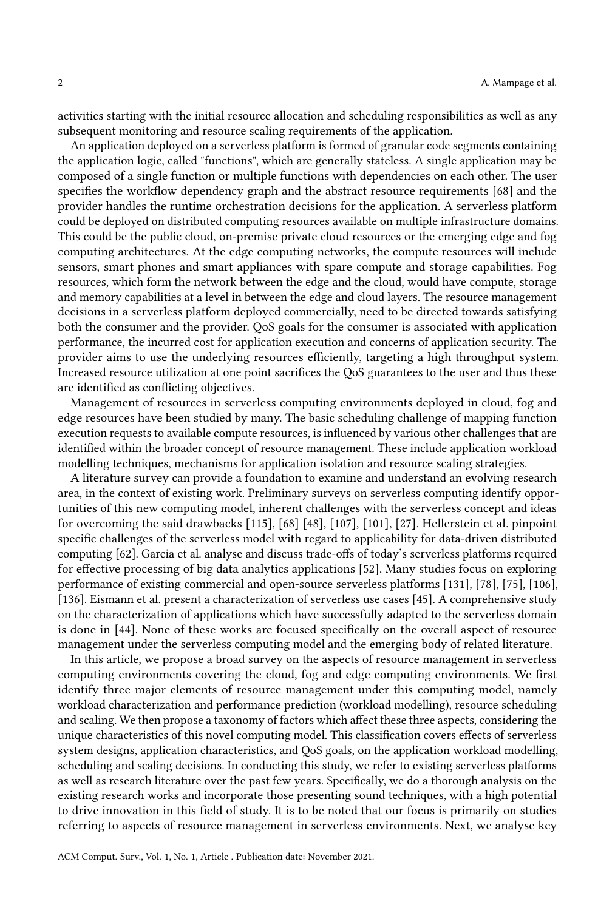activities starting with the initial resource allocation and scheduling responsibilities as well as any subsequent monitoring and resource scaling requirements of the application.

An application deployed on a serverless platform is formed of granular code segments containing the application logic, called "functions", which are generally stateless. A single application may be composed of a single function or multiple functions with dependencies on each other. The user specifies the workflow dependency graph and the abstract resource requirements [\[68\]](#page-34-0) and the provider handles the runtime orchestration decisions for the application. A serverless platform could be deployed on distributed computing resources available on multiple infrastructure domains. This could be the public cloud, on-premise private cloud resources or the emerging edge and fog computing architectures. At the edge computing networks, the compute resources will include sensors, smart phones and smart appliances with spare compute and storage capabilities. Fog resources, which form the network between the edge and the cloud, would have compute, storage and memory capabilities at a level in between the edge and cloud layers. The resource management decisions in a serverless platform deployed commercially, need to be directed towards satisfying both the consumer and the provider. QoS goals for the consumer is associated with application performance, the incurred cost for application execution and concerns of application security. The provider aims to use the underlying resources efficiently, targeting a high throughput system. Increased resource utilization at one point sacrifices the QoS guarantees to the user and thus these are identified as conflicting objectives.

Management of resources in serverless computing environments deployed in cloud, fog and edge resources have been studied by many. The basic scheduling challenge of mapping function execution requests to available compute resources, is influenced by various other challenges that are identified within the broader concept of resource management. These include application workload modelling techniques, mechanisms for application isolation and resource scaling strategies.

A literature survey can provide a foundation to examine and understand an evolving research area, in the context of existing work. Preliminary surveys on serverless computing identify opportunities of this new computing model, inherent challenges with the serverless concept and ideas for overcoming the said drawbacks [\[115\]](#page-36-0), [\[68\]](#page-34-0) [\[48\]](#page-33-0), [\[107\]](#page-35-0), [\[101\]](#page-35-1), [\[27\]](#page-32-0). Hellerstein et al. pinpoint specific challenges of the serverless model with regard to applicability for data-driven distributed computing [\[62\]](#page-34-1). Garcia et al. analyse and discuss trade-offs of today's serverless platforms required for effective processing of big data analytics applications [\[52\]](#page-33-1). Many studies focus on exploring performance of existing commercial and open-source serverless platforms [\[131\]](#page-36-1), [\[78\]](#page-34-2), [\[75\]](#page-34-3), [\[106\]](#page-35-2), [\[136\]](#page-37-1). Eismann et al. present a characterization of serverless use cases [\[45\]](#page-33-2). A comprehensive study on the characterization of applications which have successfully adapted to the serverless domain is done in [\[44\]](#page-33-3). None of these works are focused specifically on the overall aspect of resource management under the serverless computing model and the emerging body of related literature.

In this article, we propose a broad survey on the aspects of resource management in serverless computing environments covering the cloud, fog and edge computing environments. We first identify three major elements of resource management under this computing model, namely workload characterization and performance prediction (workload modelling), resource scheduling and scaling. We then propose a taxonomy of factors which affect these three aspects, considering the unique characteristics of this novel computing model. This classification covers effects of serverless system designs, application characteristics, and QoS goals, on the application workload modelling, scheduling and scaling decisions. In conducting this study, we refer to existing serverless platforms as well as research literature over the past few years. Specifically, we do a thorough analysis on the existing research works and incorporate those presenting sound techniques, with a high potential to drive innovation in this field of study. It is to be noted that our focus is primarily on studies referring to aspects of resource management in serverless environments. Next, we analyse key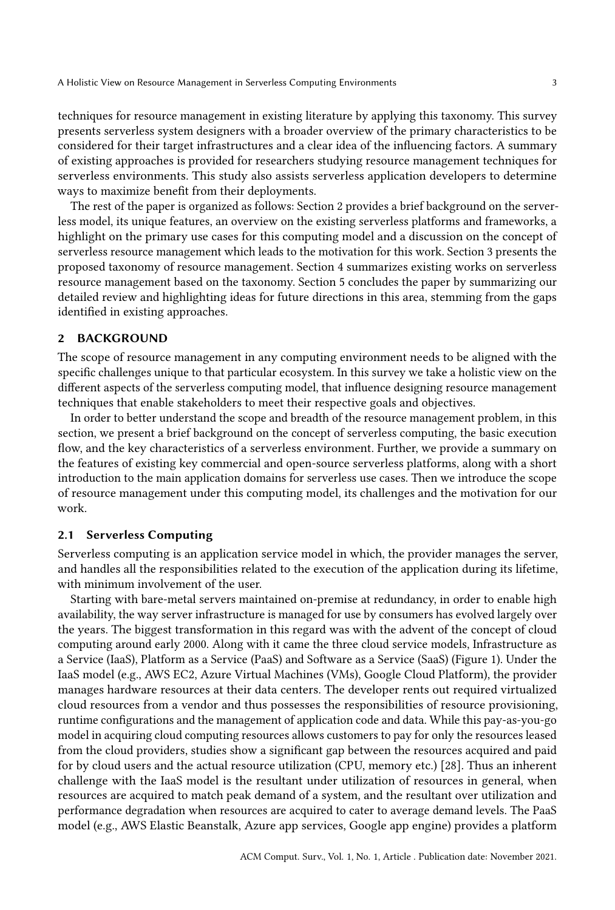techniques for resource management in existing literature by applying this taxonomy. This survey presents serverless system designers with a broader overview of the primary characteristics to be considered for their target infrastructures and a clear idea of the influencing factors. A summary of existing approaches is provided for researchers studying resource management techniques for serverless environments. This study also assists serverless application developers to determine ways to maximize benefit from their deployments.

The rest of the paper is organized as follows: Section 2 provides a brief background on the serverless model, its unique features, an overview on the existing serverless platforms and frameworks, a highlight on the primary use cases for this computing model and a discussion on the concept of serverless resource management which leads to the motivation for this work. Section 3 presents the proposed taxonomy of resource management. Section 4 summarizes existing works on serverless resource management based on the taxonomy. Section 5 concludes the paper by summarizing our detailed review and highlighting ideas for future directions in this area, stemming from the gaps identified in existing approaches.

### 2 BACKGROUND

The scope of resource management in any computing environment needs to be aligned with the specific challenges unique to that particular ecosystem. In this survey we take a holistic view on the different aspects of the serverless computing model, that influence designing resource management techniques that enable stakeholders to meet their respective goals and objectives.

In order to better understand the scope and breadth of the resource management problem, in this section, we present a brief background on the concept of serverless computing, the basic execution flow, and the key characteristics of a serverless environment. Further, we provide a summary on the features of existing key commercial and open-source serverless platforms, along with a short introduction to the main application domains for serverless use cases. Then we introduce the scope of resource management under this computing model, its challenges and the motivation for our work.

#### 2.1 Serverless Computing

Serverless computing is an application service model in which, the provider manages the server, and handles all the responsibilities related to the execution of the application during its lifetime, with minimum involvement of the user.

Starting with bare-metal servers maintained on-premise at redundancy, in order to enable high availability, the way server infrastructure is managed for use by consumers has evolved largely over the years. The biggest transformation in this regard was with the advent of the concept of cloud computing around early 2000. Along with it came the three cloud service models, Infrastructure as a Service (IaaS), Platform as a Service (PaaS) and Software as a Service (SaaS) (Figure [1\)](#page-3-0). Under the IaaS model (e.g., AWS EC2, Azure Virtual Machines (VMs), Google Cloud Platform), the provider manages hardware resources at their data centers. The developer rents out required virtualized cloud resources from a vendor and thus possesses the responsibilities of resource provisioning, runtime configurations and the management of application code and data. While this pay-as-you-go model in acquiring cloud computing resources allows customers to pay for only the resources leased from the cloud providers, studies show a significant gap between the resources acquired and paid for by cloud users and the actual resource utilization (CPU, memory etc.) [\[28\]](#page-32-1). Thus an inherent challenge with the IaaS model is the resultant under utilization of resources in general, when resources are acquired to match peak demand of a system, and the resultant over utilization and performance degradation when resources are acquired to cater to average demand levels. The PaaS model (e.g., AWS Elastic Beanstalk, Azure app services, Google app engine) provides a platform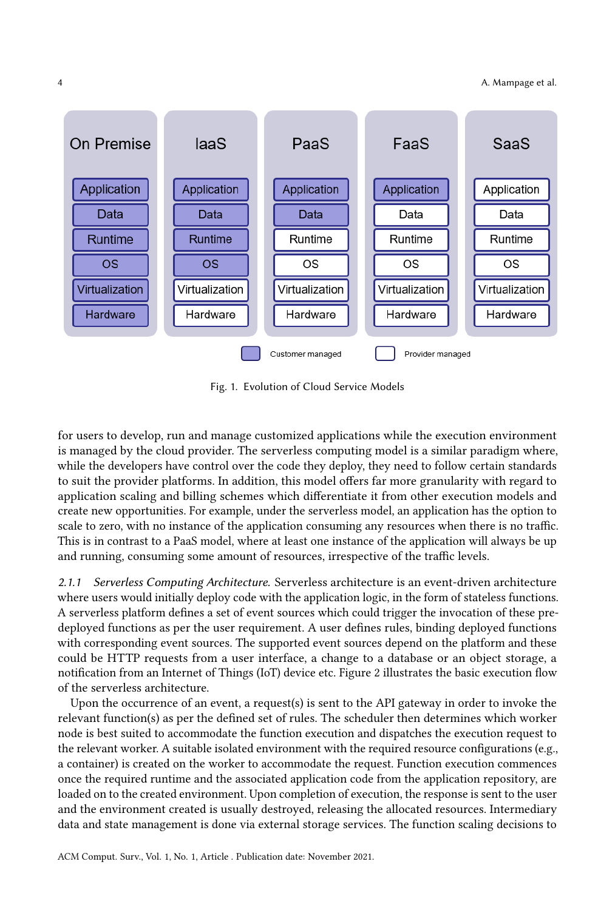#### 4 A. Mampage et al.

<span id="page-3-0"></span>

Fig. 1. Evolution of Cloud Service Models

for users to develop, run and manage customized applications while the execution environment is managed by the cloud provider. The serverless computing model is a similar paradigm where, while the developers have control over the code they deploy, they need to follow certain standards to suit the provider platforms. In addition, this model offers far more granularity with regard to application scaling and billing schemes which differentiate it from other execution models and create new opportunities. For example, under the serverless model, an application has the option to scale to zero, with no instance of the application consuming any resources when there is no traffic. This is in contrast to a PaaS model, where at least one instance of the application will always be up and running, consuming some amount of resources, irrespective of the traffic levels.

2.1.1 Serverless Computing Architecture. Serverless architecture is an event-driven architecture where users would initially deploy code with the application logic, in the form of stateless functions. A serverless platform defines a set of event sources which could trigger the invocation of these predeployed functions as per the user requirement. A user defines rules, binding deployed functions with corresponding event sources. The supported event sources depend on the platform and these could be HTTP requests from a user interface, a change to a database or an object storage, a notification from an Internet of Things (IoT) device etc. Figure [2](#page-4-0) illustrates the basic execution flow of the serverless architecture.

Upon the occurrence of an event, a request(s) is sent to the API gateway in order to invoke the relevant function(s) as per the defined set of rules. The scheduler then determines which worker node is best suited to accommodate the function execution and dispatches the execution request to the relevant worker. A suitable isolated environment with the required resource configurations (e.g., a container) is created on the worker to accommodate the request. Function execution commences once the required runtime and the associated application code from the application repository, are loaded on to the created environment. Upon completion of execution, the response is sent to the user and the environment created is usually destroyed, releasing the allocated resources. Intermediary data and state management is done via external storage services. The function scaling decisions to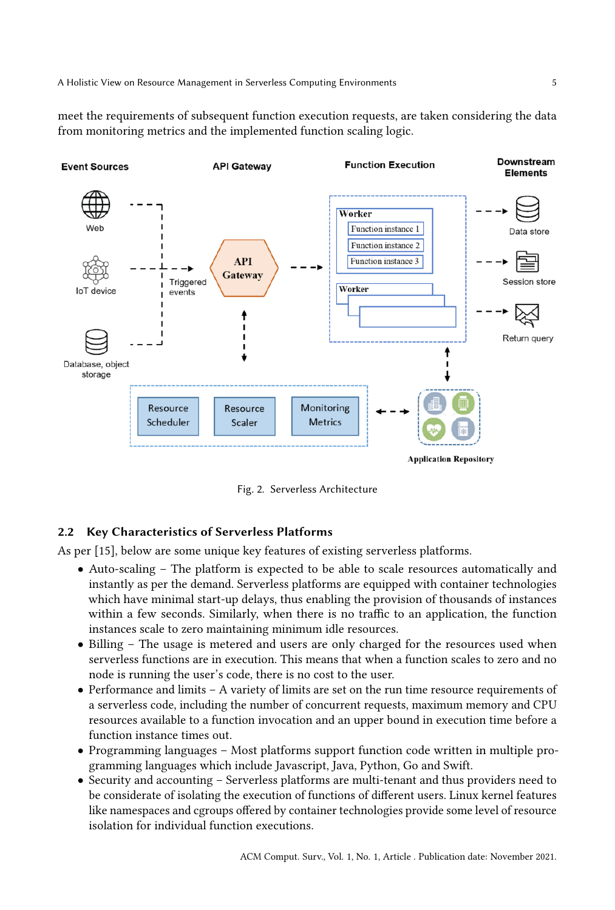meet the requirements of subsequent function execution requests, are taken considering the data from monitoring metrics and the implemented function scaling logic.

<span id="page-4-0"></span>

Fig. 2. Serverless Architecture

## 2.2 Key Characteristics of Serverless Platforms

As per [\[15\]](#page-31-0), below are some unique key features of existing serverless platforms.

- Auto-scaling The platform is expected to be able to scale resources automatically and instantly as per the demand. Serverless platforms are equipped with container technologies which have minimal start-up delays, thus enabling the provision of thousands of instances within a few seconds. Similarly, when there is no traffic to an application, the function instances scale to zero maintaining minimum idle resources.
- Billing The usage is metered and users are only charged for the resources used when serverless functions are in execution. This means that when a function scales to zero and no node is running the user's code, there is no cost to the user.
- Performance and limits A variety of limits are set on the run time resource requirements of a serverless code, including the number of concurrent requests, maximum memory and CPU resources available to a function invocation and an upper bound in execution time before a function instance times out.
- Programming languages Most platforms support function code written in multiple programming languages which include Javascript, Java, Python, Go and Swift.
- Security and accounting Serverless platforms are multi-tenant and thus providers need to be considerate of isolating the execution of functions of different users. Linux kernel features like namespaces and cgroups offered by container technologies provide some level of resource isolation for individual function executions.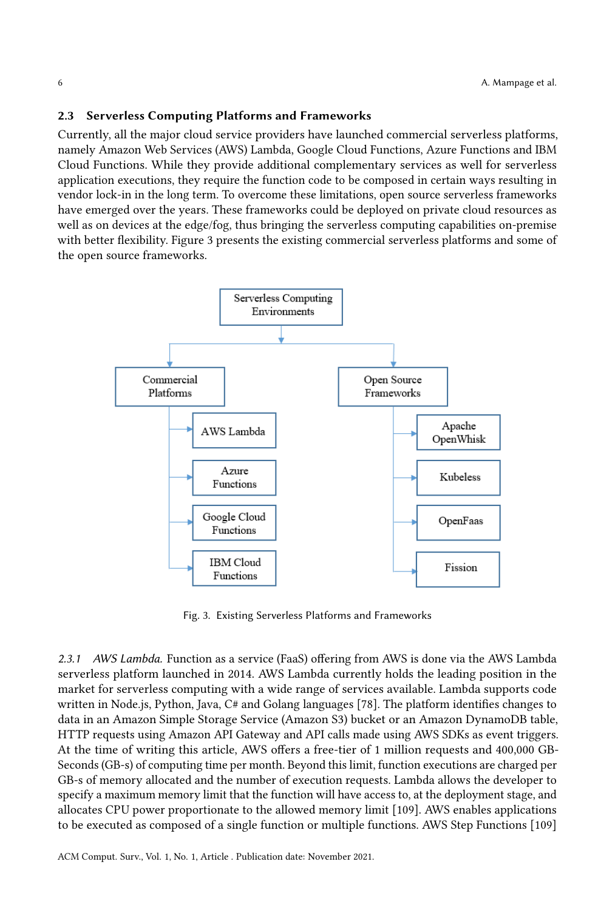## 2.3 Serverless Computing Platforms and Frameworks

Currently, all the major cloud service providers have launched commercial serverless platforms, namely Amazon Web Services (AWS) Lambda, Google Cloud Functions, Azure Functions and IBM Cloud Functions. While they provide additional complementary services as well for serverless application executions, they require the function code to be composed in certain ways resulting in vendor lock-in in the long term. To overcome these limitations, open source serverless frameworks have emerged over the years. These frameworks could be deployed on private cloud resources as well as on devices at the edge/fog, thus bringing the serverless computing capabilities on-premise with better flexibility. Figure [3](#page-5-0) presents the existing commercial serverless platforms and some of the open source frameworks.

<span id="page-5-0"></span>

Fig. 3. Existing Serverless Platforms and Frameworks

2.3.1 AWS Lambda. Function as a service (FaaS) offering from AWS is done via the AWS Lambda serverless platform launched in 2014. AWS Lambda currently holds the leading position in the market for serverless computing with a wide range of services available. Lambda supports code written in Node.js, Python, Java, C# and Golang languages [\[78\]](#page-34-2). The platform identifies changes to data in an Amazon Simple Storage Service (Amazon S3) bucket or an Amazon DynamoDB table, HTTP requests using Amazon API Gateway and API calls made using AWS SDKs as event triggers. At the time of writing this article, AWS offers a free-tier of 1 million requests and 400,000 GB-Seconds (GB-s) of computing time per month. Beyond this limit, function executions are charged per GB-s of memory allocated and the number of execution requests. Lambda allows the developer to specify a maximum memory limit that the function will have access to, at the deployment stage, and allocates CPU power proportionate to the allowed memory limit [\[109\]](#page-36-2). AWS enables applications to be executed as composed of a single function or multiple functions. AWS Step Functions [\[109\]](#page-36-2)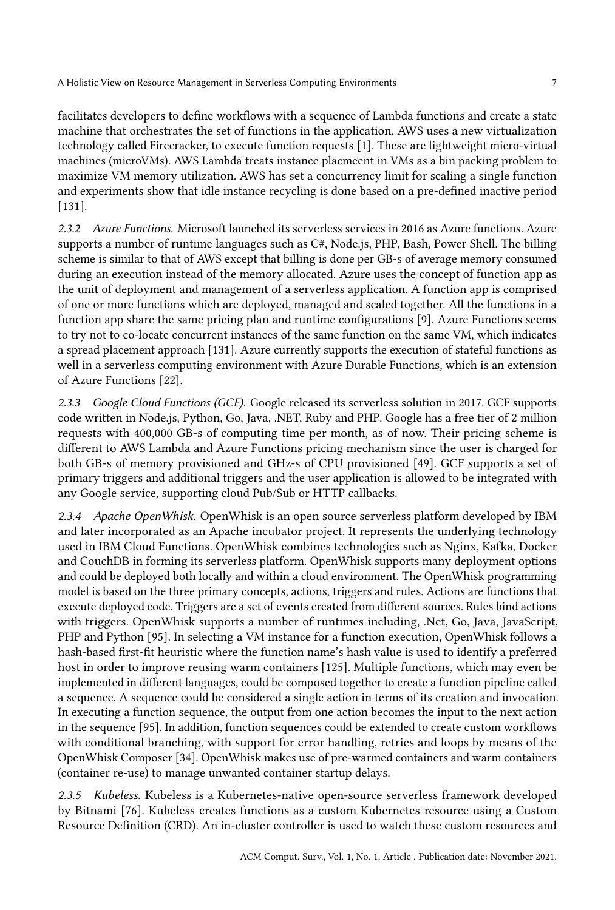facilitates developers to define workflows with a sequence of Lambda functions and create a state machine that orchestrates the set of functions in the application. AWS uses a new virtualization technology called Firecracker, to execute function requests [\[1\]](#page-31-1). These are lightweight micro-virtual machines (microVMs). AWS Lambda treats instance placmeent in VMs as a bin packing problem to maximize VM memory utilization. AWS has set a concurrency limit for scaling a single function and experiments show that idle instance recycling is done based on a pre-defined inactive period [\[131\]](#page-36-1).

2.3.2 Azure Functions. Microsoft launched its serverless services in 2016 as Azure functions. Azure supports a number of runtime languages such as C#, Node.js, PHP, Bash, Power Shell. The billing scheme is similar to that of AWS except that billing is done per GB-s of average memory consumed during an execution instead of the memory allocated. Azure uses the concept of function app as the unit of deployment and management of a serverless application. A function app is comprised of one or more functions which are deployed, managed and scaled together. All the functions in a function app share the same pricing plan and runtime configurations [\[9\]](#page-31-2). Azure Functions seems to try not to co-locate concurrent instances of the same function on the same VM, which indicates a spread placement approach [\[131\]](#page-36-1). Azure currently supports the execution of stateful functions as well in a serverless computing environment with Azure Durable Functions, which is an extension of Azure Functions [\[22\]](#page-32-2).

2.3.3 Google Cloud Functions (GCF). Google released its serverless solution in 2017. GCF supports code written in Node.js, Python, Go, Java, .NET, Ruby and PHP. Google has a free tier of 2 million requests with 400,000 GB-s of computing time per month, as of now. Their pricing scheme is different to AWS Lambda and Azure Functions pricing mechanism since the user is charged for both GB-s of memory provisioned and GHz-s of CPU provisioned [\[49\]](#page-33-4). GCF supports a set of primary triggers and additional triggers and the user application is allowed to be integrated with any Google service, supporting cloud Pub/Sub or HTTP callbacks.

2.3.4 Apache OpenWhisk. OpenWhisk is an open source serverless platform developed by IBM and later incorporated as an Apache incubator project. It represents the underlying technology used in IBM Cloud Functions. OpenWhisk combines technologies such as Nginx, Kafka, Docker and CouchDB in forming its serverless platform. OpenWhisk supports many deployment options and could be deployed both locally and within a cloud environment. The OpenWhisk programming model is based on the three primary concepts, actions, triggers and rules. Actions are functions that execute deployed code. Triggers are a set of events created from different sources. Rules bind actions with triggers. OpenWhisk supports a number of runtimes including, .Net, Go, Java, JavaScript, PHP and Python [\[95\]](#page-35-3). In selecting a VM instance for a function execution, OpenWhisk follows a hash-based first-fit heuristic where the function name's hash value is used to identify a preferred host in order to improve reusing warm containers [\[125\]](#page-36-3). Multiple functions, which may even be implemented in different languages, could be composed together to create a function pipeline called a sequence. A sequence could be considered a single action in terms of its creation and invocation. In executing a function sequence, the output from one action becomes the input to the next action in the sequence [\[95\]](#page-35-3). In addition, function sequences could be extended to create custom workflows with conditional branching, with support for error handling, retries and loops by means of the OpenWhisk Composer [\[34\]](#page-32-3). OpenWhisk makes use of pre-warmed containers and warm containers (container re-use) to manage unwanted container startup delays.

2.3.5 Kubeless. Kubeless is a Kubernetes-native open-source serverless framework developed by Bitnami [\[76\]](#page-34-4). Kubeless creates functions as a custom Kubernetes resource using a Custom Resource Definition (CRD). An in-cluster controller is used to watch these custom resources and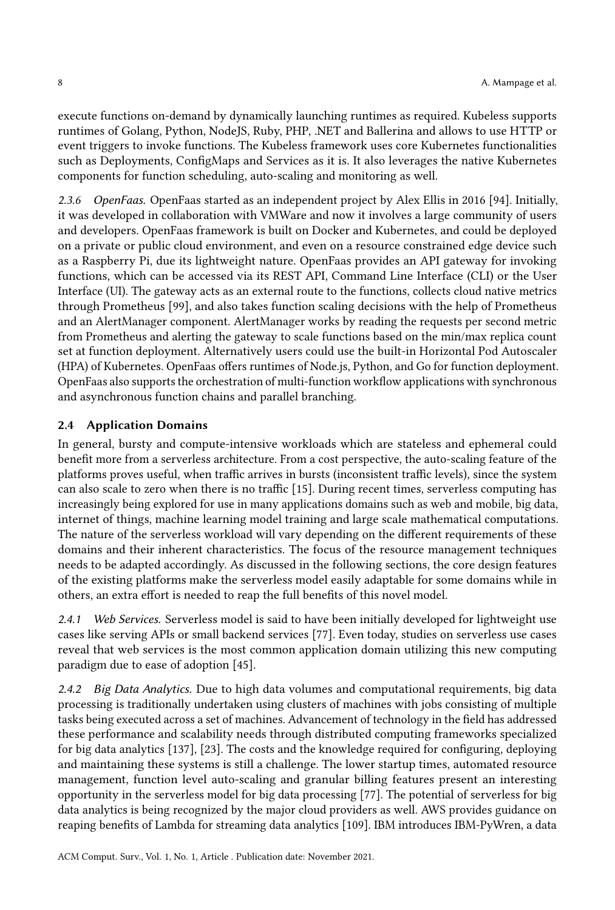execute functions on-demand by dynamically launching runtimes as required. Kubeless supports runtimes of Golang, Python, NodeJS, Ruby, PHP, .NET and Ballerina and allows to use HTTP or event triggers to invoke functions. The Kubeless framework uses core Kubernetes functionalities such as Deployments, ConfigMaps and Services as it is. It also leverages the native Kubernetes components for function scheduling, auto-scaling and monitoring as well.

2.3.6 OpenFaas. OpenFaas started as an independent project by Alex Ellis in 2016 [\[94\]](#page-35-4). Initially, it was developed in collaboration with VMWare and now it involves a large community of users and developers. OpenFaas framework is built on Docker and Kubernetes, and could be deployed on a private or public cloud environment, and even on a resource constrained edge device such as a Raspberry Pi, due its lightweight nature. OpenFaas provides an API gateway for invoking functions, which can be accessed via its REST API, Command Line Interface (CLI) or the User Interface (UI). The gateway acts as an external route to the functions, collects cloud native metrics through Prometheus [\[99\]](#page-35-5), and also takes function scaling decisions with the help of Prometheus and an AlertManager component. AlertManager works by reading the requests per second metric from Prometheus and alerting the gateway to scale functions based on the min/max replica count set at function deployment. Alternatively users could use the built-in Horizontal Pod Autoscaler (HPA) of Kubernetes. OpenFaas offers runtimes of Node.js, Python, and Go for function deployment. OpenFaas also supports the orchestration of multi-function workflow applications with synchronous and asynchronous function chains and parallel branching.

## 2.4 Application Domains

In general, bursty and compute-intensive workloads which are stateless and ephemeral could benefit more from a serverless architecture. From a cost perspective, the auto-scaling feature of the platforms proves useful, when traffic arrives in bursts (inconsistent traffic levels), since the system can also scale to zero when there is no traffic [\[15\]](#page-31-0). During recent times, serverless computing has increasingly being explored for use in many applications domains such as web and mobile, big data, internet of things, machine learning model training and large scale mathematical computations. The nature of the serverless workload will vary depending on the different requirements of these domains and their inherent characteristics. The focus of the resource management techniques needs to be adapted accordingly. As discussed in the following sections, the core design features of the existing platforms make the serverless model easily adaptable for some domains while in others, an extra effort is needed to reap the full benefits of this novel model.

2.4.1 Web Services. Serverless model is said to have been initially developed for lightweight use cases like serving APIs or small backend services [\[77\]](#page-34-5). Even today, studies on serverless use cases reveal that web services is the most common application domain utilizing this new computing paradigm due to ease of adoption [\[45\]](#page-33-2).

2.4.2 Big Data Analytics. Due to high data volumes and computational requirements, big data processing is traditionally undertaken using clusters of machines with jobs consisting of multiple tasks being executed across a set of machines. Advancement of technology in the field has addressed these performance and scalability needs through distributed computing frameworks specialized for big data analytics [\[137\]](#page-37-2), [\[23\]](#page-32-4). The costs and the knowledge required for configuring, deploying and maintaining these systems is still a challenge. The lower startup times, automated resource management, function level auto-scaling and granular billing features present an interesting opportunity in the serverless model for big data processing [\[77\]](#page-34-5). The potential of serverless for big data analytics is being recognized by the major cloud providers as well. AWS provides guidance on reaping benefits of Lambda for streaming data analytics [\[109\]](#page-36-2). IBM introduces IBM-PyWren, a data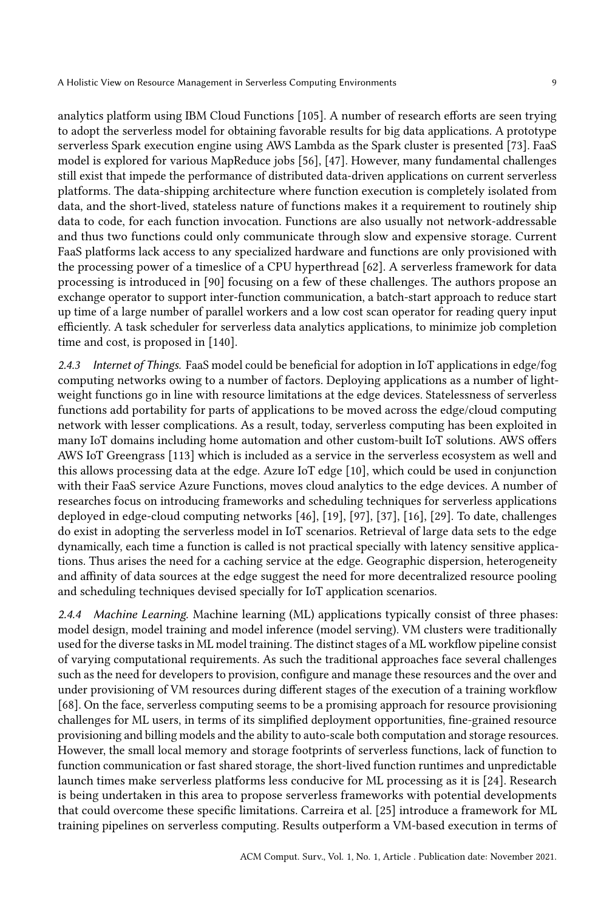analytics platform using IBM Cloud Functions [\[105\]](#page-35-6). A number of research efforts are seen trying to adopt the serverless model for obtaining favorable results for big data applications. A prototype serverless Spark execution engine using AWS Lambda as the Spark cluster is presented [\[73\]](#page-34-6). FaaS model is explored for various MapReduce jobs [\[56\]](#page-33-5), [\[47\]](#page-33-6). However, many fundamental challenges still exist that impede the performance of distributed data-driven applications on current serverless platforms. The data-shipping architecture where function execution is completely isolated from data, and the short-lived, stateless nature of functions makes it a requirement to routinely ship data to code, for each function invocation. Functions are also usually not network-addressable and thus two functions could only communicate through slow and expensive storage. Current FaaS platforms lack access to any specialized hardware and functions are only provisioned with the processing power of a timeslice of a CPU hyperthread [\[62\]](#page-34-1). A serverless framework for data processing is introduced in [\[90\]](#page-35-7) focusing on a few of these challenges. The authors propose an exchange operator to support inter-function communication, a batch-start approach to reduce start up time of a large number of parallel workers and a low cost scan operator for reading query input efficiently. A task scheduler for serverless data analytics applications, to minimize job completion time and cost, is proposed in [\[140\]](#page-37-3).

2.4.3 Internet of Things. FaaS model could be beneficial for adoption in IoT applications in edge/fog computing networks owing to a number of factors. Deploying applications as a number of lightweight functions go in line with resource limitations at the edge devices. Statelessness of serverless functions add portability for parts of applications to be moved across the edge/cloud computing network with lesser complications. As a result, today, serverless computing has been exploited in many IoT domains including home automation and other custom-built IoT solutions. AWS offers AWS IoT Greengrass [\[113\]](#page-36-4) which is included as a service in the serverless ecosystem as well and this allows processing data at the edge. Azure IoT edge [\[10\]](#page-31-3), which could be used in conjunction with their FaaS service Azure Functions, moves cloud analytics to the edge devices. A number of researches focus on introducing frameworks and scheduling techniques for serverless applications deployed in edge-cloud computing networks [\[46\]](#page-33-7), [\[19\]](#page-32-5), [\[97\]](#page-35-8), [\[37\]](#page-32-6), [\[16\]](#page-31-4), [\[29\]](#page-32-7). To date, challenges do exist in adopting the serverless model in IoT scenarios. Retrieval of large data sets to the edge dynamically, each time a function is called is not practical specially with latency sensitive applications. Thus arises the need for a caching service at the edge. Geographic dispersion, heterogeneity and affinity of data sources at the edge suggest the need for more decentralized resource pooling and scheduling techniques devised specially for IoT application scenarios.

2.4.4 Machine Learning. Machine learning (ML) applications typically consist of three phases: model design, model training and model inference (model serving). VM clusters were traditionally used for the diverse tasks in ML model training. The distinct stages of a ML workflow pipeline consist of varying computational requirements. As such the traditional approaches face several challenges such as the need for developers to provision, configure and manage these resources and the over and under provisioning of VM resources during different stages of the execution of a training workflow [\[68\]](#page-34-0). On the face, serverless computing seems to be a promising approach for resource provisioning challenges for ML users, in terms of its simplified deployment opportunities, fine-grained resource provisioning and billing models and the ability to auto-scale both computation and storage resources. However, the small local memory and storage footprints of serverless functions, lack of function to function communication or fast shared storage, the short-lived function runtimes and unpredictable launch times make serverless platforms less conducive for ML processing as it is [\[24\]](#page-32-8). Research is being undertaken in this area to propose serverless frameworks with potential developments that could overcome these specific limitations. Carreira et al. [\[25\]](#page-32-9) introduce a framework for ML training pipelines on serverless computing. Results outperform a VM-based execution in terms of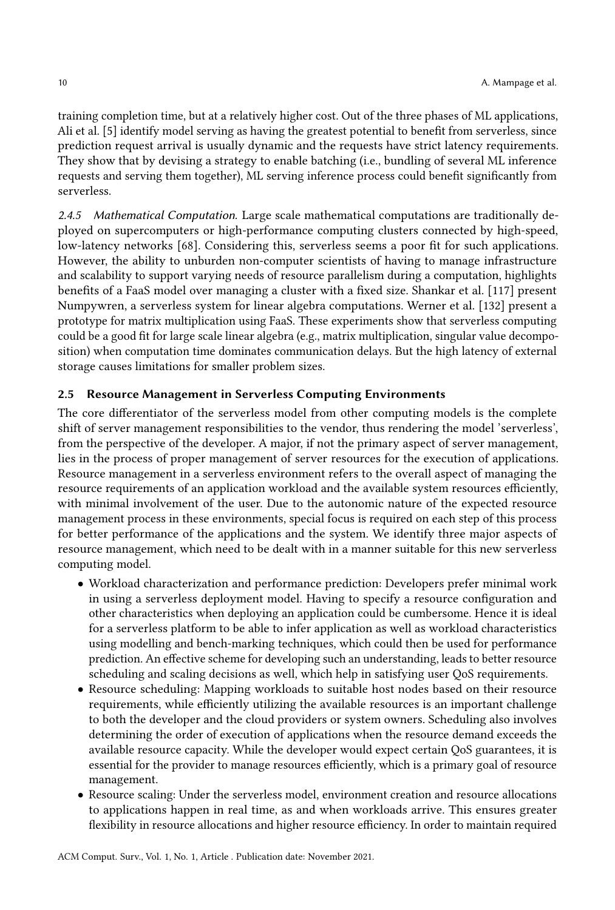training completion time, but at a relatively higher cost. Out of the three phases of ML applications, Ali et al. [\[5\]](#page-31-5) identify model serving as having the greatest potential to benefit from serverless, since prediction request arrival is usually dynamic and the requests have strict latency requirements. They show that by devising a strategy to enable batching (i.e., bundling of several ML inference requests and serving them together), ML serving inference process could benefit significantly from serverless.

2.4.5 Mathematical Computation. Large scale mathematical computations are traditionally deployed on supercomputers or high-performance computing clusters connected by high-speed, low-latency networks [\[68\]](#page-34-0). Considering this, serverless seems a poor fit for such applications. However, the ability to unburden non-computer scientists of having to manage infrastructure and scalability to support varying needs of resource parallelism during a computation, highlights benefits of a FaaS model over managing a cluster with a fixed size. Shankar et al. [\[117\]](#page-36-5) present Numpywren, a serverless system for linear algebra computations. Werner et al. [\[132\]](#page-36-6) present a prototype for matrix multiplication using FaaS. These experiments show that serverless computing could be a good fit for large scale linear algebra (e.g., matrix multiplication, singular value decomposition) when computation time dominates communication delays. But the high latency of external storage causes limitations for smaller problem sizes.

## 2.5 Resource Management in Serverless Computing Environments

The core differentiator of the serverless model from other computing models is the complete shift of server management responsibilities to the vendor, thus rendering the model 'serverless', from the perspective of the developer. A major, if not the primary aspect of server management, lies in the process of proper management of server resources for the execution of applications. Resource management in a serverless environment refers to the overall aspect of managing the resource requirements of an application workload and the available system resources efficiently, with minimal involvement of the user. Due to the autonomic nature of the expected resource management process in these environments, special focus is required on each step of this process for better performance of the applications and the system. We identify three major aspects of resource management, which need to be dealt with in a manner suitable for this new serverless computing model.

- Workload characterization and performance prediction: Developers prefer minimal work in using a serverless deployment model. Having to specify a resource configuration and other characteristics when deploying an application could be cumbersome. Hence it is ideal for a serverless platform to be able to infer application as well as workload characteristics using modelling and bench-marking techniques, which could then be used for performance prediction. An effective scheme for developing such an understanding, leads to better resource scheduling and scaling decisions as well, which help in satisfying user QoS requirements.
- Resource scheduling: Mapping workloads to suitable host nodes based on their resource requirements, while efficiently utilizing the available resources is an important challenge to both the developer and the cloud providers or system owners. Scheduling also involves determining the order of execution of applications when the resource demand exceeds the available resource capacity. While the developer would expect certain QoS guarantees, it is essential for the provider to manage resources efficiently, which is a primary goal of resource management.
- Resource scaling: Under the serverless model, environment creation and resource allocations to applications happen in real time, as and when workloads arrive. This ensures greater flexibility in resource allocations and higher resource efficiency. In order to maintain required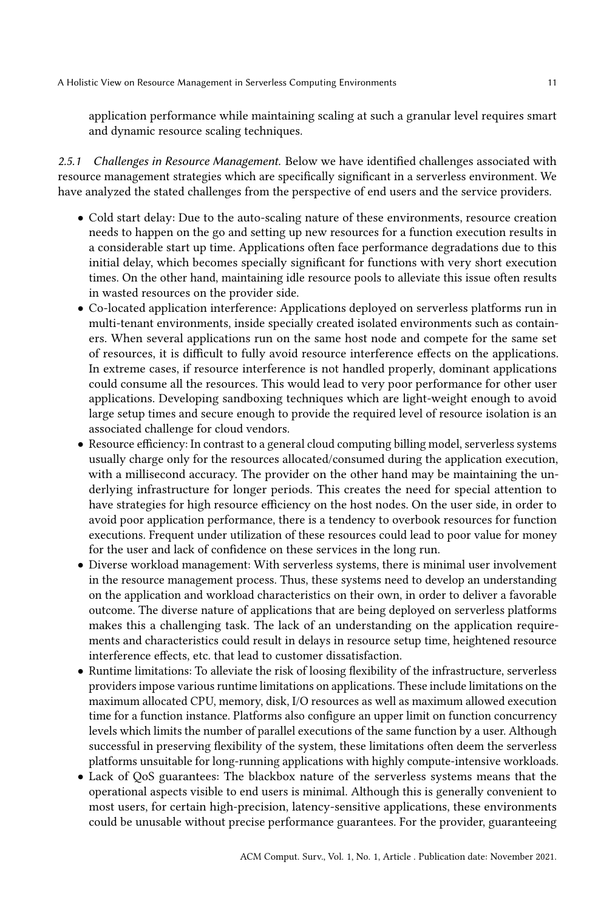application performance while maintaining scaling at such a granular level requires smart and dynamic resource scaling techniques.

2.5.1 Challenges in Resource Management. Below we have identified challenges associated with resource management strategies which are specifically significant in a serverless environment. We have analyzed the stated challenges from the perspective of end users and the service providers.

- Cold start delay: Due to the auto-scaling nature of these environments, resource creation needs to happen on the go and setting up new resources for a function execution results in a considerable start up time. Applications often face performance degradations due to this initial delay, which becomes specially significant for functions with very short execution times. On the other hand, maintaining idle resource pools to alleviate this issue often results in wasted resources on the provider side.
- Co-located application interference: Applications deployed on serverless platforms run in multi-tenant environments, inside specially created isolated environments such as containers. When several applications run on the same host node and compete for the same set of resources, it is difficult to fully avoid resource interference effects on the applications. In extreme cases, if resource interference is not handled properly, dominant applications could consume all the resources. This would lead to very poor performance for other user applications. Developing sandboxing techniques which are light-weight enough to avoid large setup times and secure enough to provide the required level of resource isolation is an associated challenge for cloud vendors.
- Resource efficiency: In contrast to a general cloud computing billing model, serverless systems usually charge only for the resources allocated/consumed during the application execution, with a millisecond accuracy. The provider on the other hand may be maintaining the underlying infrastructure for longer periods. This creates the need for special attention to have strategies for high resource efficiency on the host nodes. On the user side, in order to avoid poor application performance, there is a tendency to overbook resources for function executions. Frequent under utilization of these resources could lead to poor value for money for the user and lack of confidence on these services in the long run.
- Diverse workload management: With serverless systems, there is minimal user involvement in the resource management process. Thus, these systems need to develop an understanding on the application and workload characteristics on their own, in order to deliver a favorable outcome. The diverse nature of applications that are being deployed on serverless platforms makes this a challenging task. The lack of an understanding on the application requirements and characteristics could result in delays in resource setup time, heightened resource interference effects, etc. that lead to customer dissatisfaction.
- Runtime limitations: To alleviate the risk of loosing flexibility of the infrastructure, serverless providers impose various runtime limitations on applications. These include limitations on the maximum allocated CPU, memory, disk, I/O resources as well as maximum allowed execution time for a function instance. Platforms also configure an upper limit on function concurrency levels which limits the number of parallel executions of the same function by a user. Although successful in preserving flexibility of the system, these limitations often deem the serverless platforms unsuitable for long-running applications with highly compute-intensive workloads.
- Lack of QoS guarantees: The blackbox nature of the serverless systems means that the operational aspects visible to end users is minimal. Although this is generally convenient to most users, for certain high-precision, latency-sensitive applications, these environments could be unusable without precise performance guarantees. For the provider, guaranteeing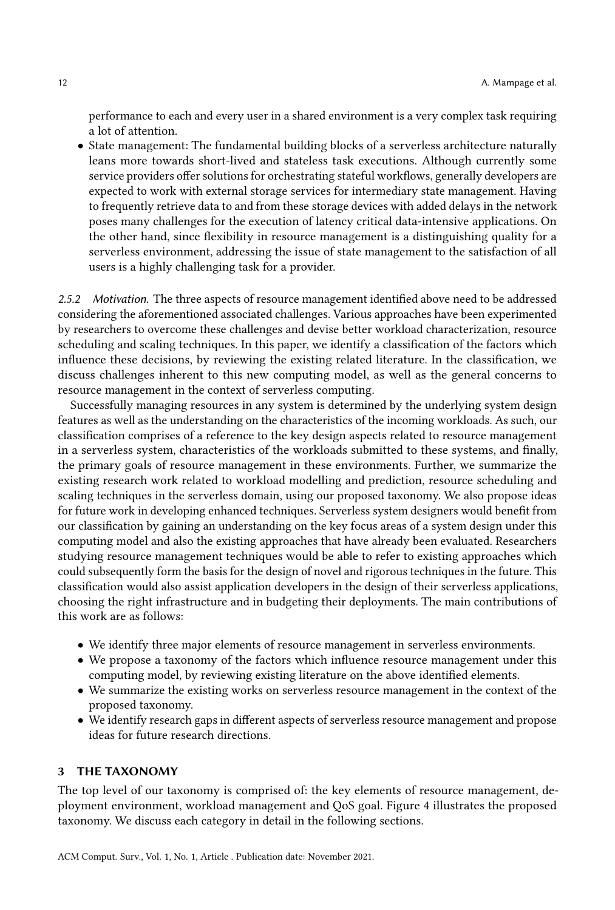performance to each and every user in a shared environment is a very complex task requiring a lot of attention.

• State management: The fundamental building blocks of a serverless architecture naturally leans more towards short-lived and stateless task executions. Although currently some service providers offer solutions for orchestrating stateful workflows, generally developers are expected to work with external storage services for intermediary state management. Having to frequently retrieve data to and from these storage devices with added delays in the network poses many challenges for the execution of latency critical data-intensive applications. On the other hand, since flexibility in resource management is a distinguishing quality for a serverless environment, addressing the issue of state management to the satisfaction of all users is a highly challenging task for a provider.

2.5.2 Motivation. The three aspects of resource management identified above need to be addressed considering the aforementioned associated challenges. Various approaches have been experimented by researchers to overcome these challenges and devise better workload characterization, resource scheduling and scaling techniques. In this paper, we identify a classification of the factors which influence these decisions, by reviewing the existing related literature. In the classification, we discuss challenges inherent to this new computing model, as well as the general concerns to resource management in the context of serverless computing.

Successfully managing resources in any system is determined by the underlying system design features as well as the understanding on the characteristics of the incoming workloads. As such, our classification comprises of a reference to the key design aspects related to resource management in a serverless system, characteristics of the workloads submitted to these systems, and finally, the primary goals of resource management in these environments. Further, we summarize the existing research work related to workload modelling and prediction, resource scheduling and scaling techniques in the serverless domain, using our proposed taxonomy. We also propose ideas for future work in developing enhanced techniques. Serverless system designers would benefit from our classification by gaining an understanding on the key focus areas of a system design under this computing model and also the existing approaches that have already been evaluated. Researchers studying resource management techniques would be able to refer to existing approaches which could subsequently form the basis for the design of novel and rigorous techniques in the future. This classification would also assist application developers in the design of their serverless applications, choosing the right infrastructure and in budgeting their deployments. The main contributions of this work are as follows:

- We identify three major elements of resource management in serverless environments.
- We propose a taxonomy of the factors which influence resource management under this computing model, by reviewing existing literature on the above identified elements.
- We summarize the existing works on serverless resource management in the context of the proposed taxonomy.
- We identify research gaps in different aspects of serverless resource management and propose ideas for future research directions.

#### 3 THE TAXONOMY

The top level of our taxonomy is comprised of: the key elements of resource management, deployment environment, workload management and QoS goal. Figure [4](#page-12-0) illustrates the proposed taxonomy. We discuss each category in detail in the following sections.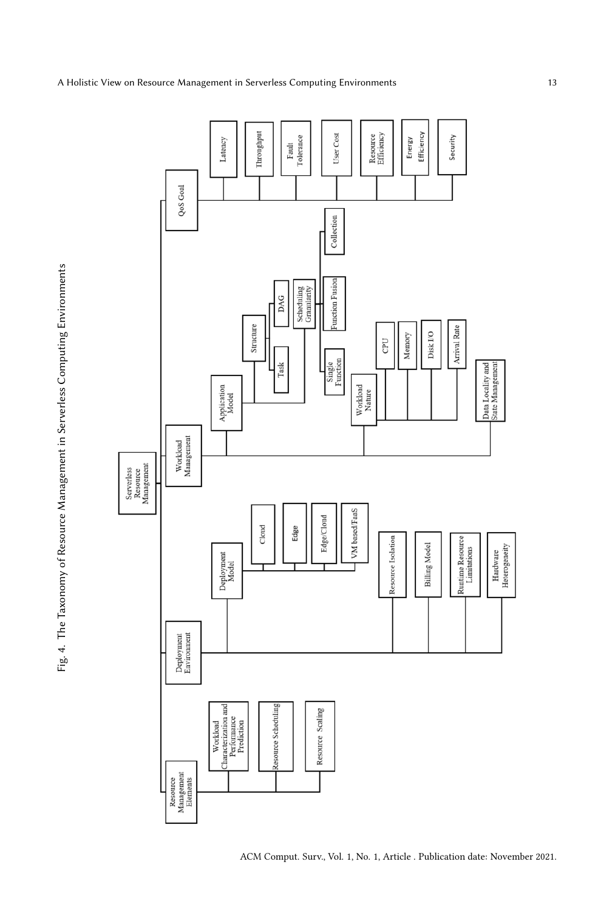Fig. 4. The Taxonomy of Resource Management in Serverless Computing Environments Fig. 4. The Taxonomy of Resource Management in Serverless Computing Environments

<span id="page-12-0"></span>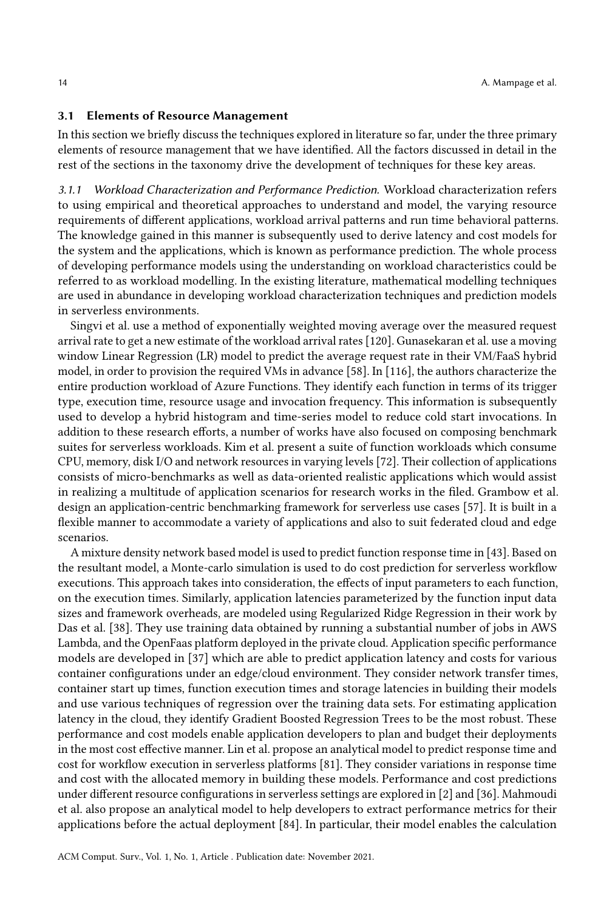#### 3.1 Elements of Resource Management

In this section we briefly discuss the techniques explored in literature so far, under the three primary elements of resource management that we have identified. All the factors discussed in detail in the rest of the sections in the taxonomy drive the development of techniques for these key areas.

3.1.1 Workload Characterization and Performance Prediction. Workload characterization refers to using empirical and theoretical approaches to understand and model, the varying resource requirements of different applications, workload arrival patterns and run time behavioral patterns. The knowledge gained in this manner is subsequently used to derive latency and cost models for the system and the applications, which is known as performance prediction. The whole process of developing performance models using the understanding on workload characteristics could be referred to as workload modelling. In the existing literature, mathematical modelling techniques are used in abundance in developing workload characterization techniques and prediction models in serverless environments.

Singvi et al. use a method of exponentially weighted moving average over the measured request arrival rate to get a new estimate of the workload arrival rates [\[120\]](#page-36-7). Gunasekaran et al. use a moving window Linear Regression (LR) model to predict the average request rate in their VM/FaaS hybrid model, in order to provision the required VMs in advance [\[58\]](#page-33-8). In [\[116\]](#page-36-8), the authors characterize the entire production workload of Azure Functions. They identify each function in terms of its trigger type, execution time, resource usage and invocation frequency. This information is subsequently used to develop a hybrid histogram and time-series model to reduce cold start invocations. In addition to these research efforts, a number of works have also focused on composing benchmark suites for serverless workloads. Kim et al. present a suite of function workloads which consume CPU, memory, disk I/O and network resources in varying levels [\[72\]](#page-34-7). Their collection of applications consists of micro-benchmarks as well as data-oriented realistic applications which would assist in realizing a multitude of application scenarios for research works in the filed. Grambow et al. design an application-centric benchmarking framework for serverless use cases [\[57\]](#page-33-9). It is built in a flexible manner to accommodate a variety of applications and also to suit federated cloud and edge scenarios.

A mixture density network based model is used to predict function response time in [\[43\]](#page-33-10). Based on the resultant model, a Monte-carlo simulation is used to do cost prediction for serverless workflow executions. This approach takes into consideration, the effects of input parameters to each function, on the execution times. Similarly, application latencies parameterized by the function input data sizes and framework overheads, are modeled using Regularized Ridge Regression in their work by Das et al. [\[38\]](#page-32-10). They use training data obtained by running a substantial number of jobs in AWS Lambda, and the OpenFaas platform deployed in the private cloud. Application specific performance models are developed in [\[37\]](#page-32-6) which are able to predict application latency and costs for various container configurations under an edge/cloud environment. They consider network transfer times, container start up times, function execution times and storage latencies in building their models and use various techniques of regression over the training data sets. For estimating application latency in the cloud, they identify Gradient Boosted Regression Trees to be the most robust. These performance and cost models enable application developers to plan and budget their deployments in the most cost effective manner. Lin et al. propose an analytical model to predict response time and cost for workflow execution in serverless platforms [\[81\]](#page-34-8). They consider variations in response time and cost with the allocated memory in building these models. Performance and cost predictions under different resource configurations in serverless settings are explored in [\[2\]](#page-31-6) and [\[36\]](#page-32-11). Mahmoudi et al. also propose an analytical model to help developers to extract performance metrics for their applications before the actual deployment [\[84\]](#page-34-9). In particular, their model enables the calculation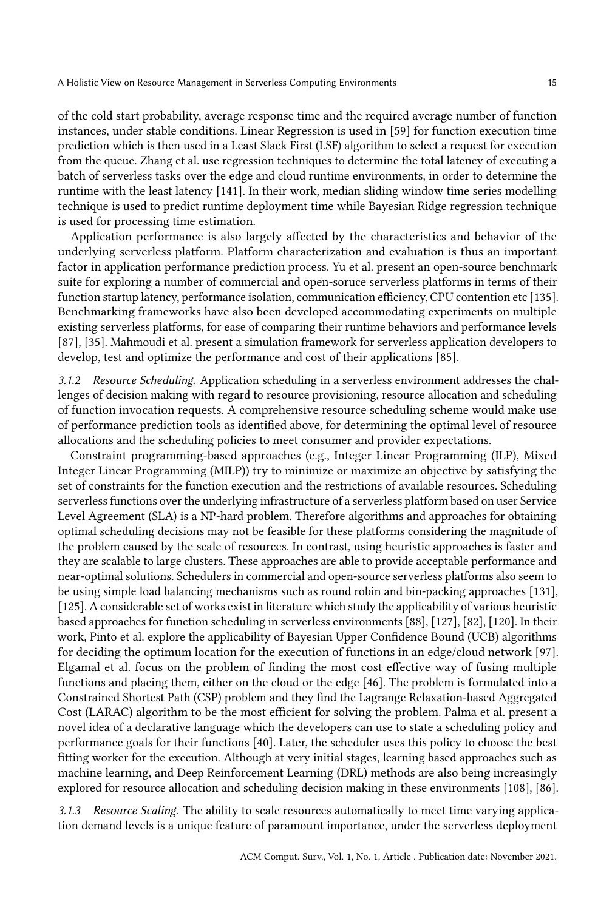of the cold start probability, average response time and the required average number of function instances, under stable conditions. Linear Regression is used in [\[59\]](#page-33-11) for function execution time prediction which is then used in a Least Slack First (LSF) algorithm to select a request for execution from the queue. Zhang et al. use regression techniques to determine the total latency of executing a batch of serverless tasks over the edge and cloud runtime environments, in order to determine the runtime with the least latency [\[141\]](#page-37-4). In their work, median sliding window time series modelling technique is used to predict runtime deployment time while Bayesian Ridge regression technique is used for processing time estimation.

Application performance is also largely affected by the characteristics and behavior of the underlying serverless platform. Platform characterization and evaluation is thus an important factor in application performance prediction process. Yu et al. present an open-source benchmark suite for exploring a number of commercial and open-soruce serverless platforms in terms of their function startup latency, performance isolation, communication efficiency, CPU contention etc [\[135\]](#page-37-5). Benchmarking frameworks have also been developed accommodating experiments on multiple existing serverless platforms, for ease of comparing their runtime behaviors and performance levels [\[87\]](#page-35-9), [\[35\]](#page-32-12). Mahmoudi et al. present a simulation framework for serverless application developers to develop, test and optimize the performance and cost of their applications [\[85\]](#page-34-10).

3.1.2 Resource Scheduling. Application scheduling in a serverless environment addresses the challenges of decision making with regard to resource provisioning, resource allocation and scheduling of function invocation requests. A comprehensive resource scheduling scheme would make use of performance prediction tools as identified above, for determining the optimal level of resource allocations and the scheduling policies to meet consumer and provider expectations.

Constraint programming-based approaches (e.g., Integer Linear Programming (ILP), Mixed Integer Linear Programming (MILP)) try to minimize or maximize an objective by satisfying the set of constraints for the function execution and the restrictions of available resources. Scheduling serverless functions over the underlying infrastructure of a serverless platform based on user Service Level Agreement (SLA) is a NP-hard problem. Therefore algorithms and approaches for obtaining optimal scheduling decisions may not be feasible for these platforms considering the magnitude of the problem caused by the scale of resources. In contrast, using heuristic approaches is faster and they are scalable to large clusters. These approaches are able to provide acceptable performance and near-optimal solutions. Schedulers in commercial and open-source serverless platforms also seem to be using simple load balancing mechanisms such as round robin and bin-packing approaches [\[131\]](#page-36-1), [\[125\]](#page-36-3). A considerable set of works exist in literature which study the applicability of various heuristic based approaches for function scheduling in serverless environments [\[88\]](#page-35-10), [\[127\]](#page-36-9), [\[82\]](#page-34-11), [\[120\]](#page-36-7). In their work, Pinto et al. explore the applicability of Bayesian Upper Confidence Bound (UCB) algorithms for deciding the optimum location for the execution of functions in an edge/cloud network [\[97\]](#page-35-8). Elgamal et al. focus on the problem of finding the most cost effective way of fusing multiple functions and placing them, either on the cloud or the edge [\[46\]](#page-33-7). The problem is formulated into a Constrained Shortest Path (CSP) problem and they find the Lagrange Relaxation-based Aggregated Cost (LARAC) algorithm to be the most efficient for solving the problem. Palma et al. present a novel idea of a declarative language which the developers can use to state a scheduling policy and performance goals for their functions [\[40\]](#page-33-12). Later, the scheduler uses this policy to choose the best fitting worker for the execution. Although at very initial stages, learning based approaches such as machine learning, and Deep Reinforcement Learning (DRL) methods are also being increasingly explored for resource allocation and scheduling decision making in these environments [\[108\]](#page-35-11), [\[86\]](#page-35-12).

3.1.3 Resource Scaling. The ability to scale resources automatically to meet time varying application demand levels is a unique feature of paramount importance, under the serverless deployment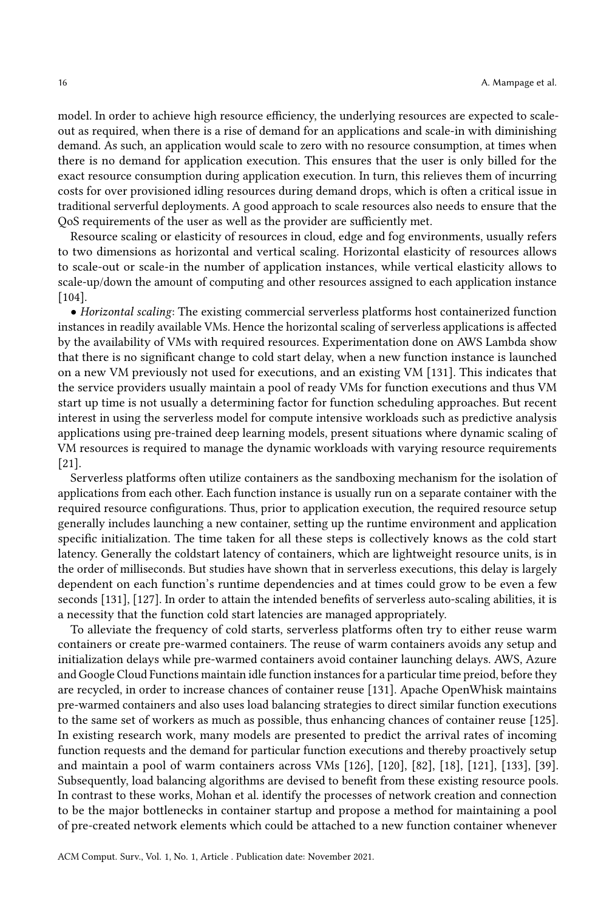model. In order to achieve high resource efficiency, the underlying resources are expected to scaleout as required, when there is a rise of demand for an applications and scale-in with diminishing demand. As such, an application would scale to zero with no resource consumption, at times when there is no demand for application execution. This ensures that the user is only billed for the exact resource consumption during application execution. In turn, this relieves them of incurring costs for over provisioned idling resources during demand drops, which is often a critical issue in traditional serverful deployments. A good approach to scale resources also needs to ensure that the QoS requirements of the user as well as the provider are sufficiently met.

Resource scaling or elasticity of resources in cloud, edge and fog environments, usually refers to two dimensions as horizontal and vertical scaling. Horizontal elasticity of resources allows to scale-out or scale-in the number of application instances, while vertical elasticity allows to scale-up/down the amount of computing and other resources assigned to each application instance [\[104\]](#page-35-13).

• Horizontal scaling: The existing commercial serverless platforms host containerized function instances in readily available VMs. Hence the horizontal scaling of serverless applications is affected by the availability of VMs with required resources. Experimentation done on AWS Lambda show that there is no significant change to cold start delay, when a new function instance is launched on a new VM previously not used for executions, and an existing VM [\[131\]](#page-36-1). This indicates that the service providers usually maintain a pool of ready VMs for function executions and thus VM start up time is not usually a determining factor for function scheduling approaches. But recent interest in using the serverless model for compute intensive workloads such as predictive analysis applications using pre-trained deep learning models, present situations where dynamic scaling of VM resources is required to manage the dynamic workloads with varying resource requirements [\[21\]](#page-32-13).

Serverless platforms often utilize containers as the sandboxing mechanism for the isolation of applications from each other. Each function instance is usually run on a separate container with the required resource configurations. Thus, prior to application execution, the required resource setup generally includes launching a new container, setting up the runtime environment and application specific initialization. The time taken for all these steps is collectively knows as the cold start latency. Generally the coldstart latency of containers, which are lightweight resource units, is in the order of milliseconds. But studies have shown that in serverless executions, this delay is largely dependent on each function's runtime dependencies and at times could grow to be even a few seconds [\[131\]](#page-36-1), [\[127\]](#page-36-9). In order to attain the intended benefits of serverless auto-scaling abilities, it is a necessity that the function cold start latencies are managed appropriately.

To alleviate the frequency of cold starts, serverless platforms often try to either reuse warm containers or create pre-warmed containers. The reuse of warm containers avoids any setup and initialization delays while pre-warmed containers avoid container launching delays. AWS, Azure and Google Cloud Functions maintain idle function instances for a particular time preiod, before they are recycled, in order to increase chances of container reuse [\[131\]](#page-36-1). Apache OpenWhisk maintains pre-warmed containers and also uses load balancing strategies to direct similar function executions to the same set of workers as much as possible, thus enhancing chances of container reuse [\[125\]](#page-36-3). In existing research work, many models are presented to predict the arrival rates of incoming function requests and the demand for particular function executions and thereby proactively setup and maintain a pool of warm containers across VMs [\[126\]](#page-36-10), [\[120\]](#page-36-7), [\[82\]](#page-34-11), [\[18\]](#page-32-14), [\[121\]](#page-36-11), [\[133\]](#page-37-6), [\[39\]](#page-33-13). Subsequently, load balancing algorithms are devised to benefit from these existing resource pools. In contrast to these works, Mohan et al. identify the processes of network creation and connection to be the major bottlenecks in container startup and propose a method for maintaining a pool of pre-created network elements which could be attached to a new function container whenever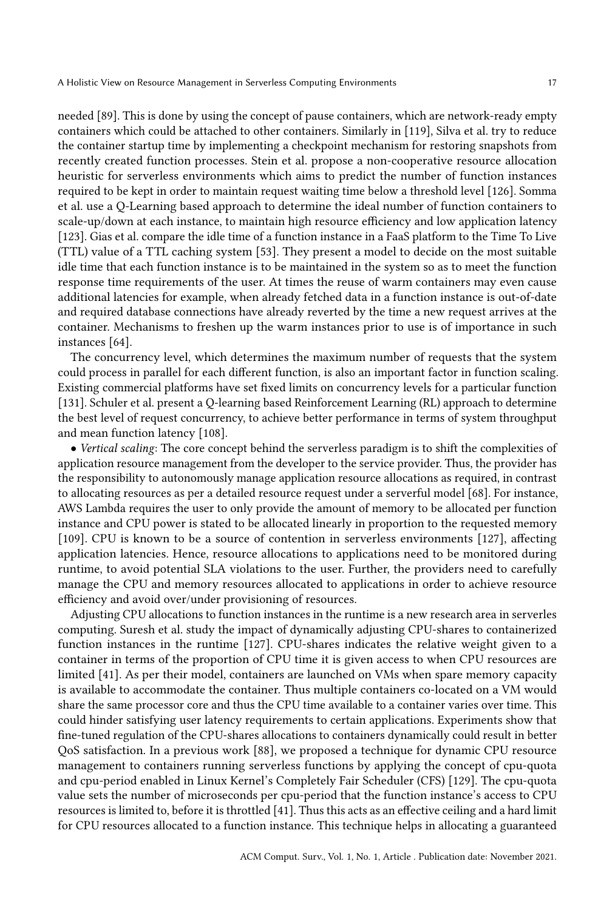needed [\[89\]](#page-35-14). This is done by using the concept of pause containers, which are network-ready empty containers which could be attached to other containers. Similarly in [\[119\]](#page-36-12), Silva et al. try to reduce the container startup time by implementing a checkpoint mechanism for restoring snapshots from recently created function processes. Stein et al. propose a non-cooperative resource allocation heuristic for serverless environments which aims to predict the number of function instances required to be kept in order to maintain request waiting time below a threshold level [\[126\]](#page-36-10). Somma et al. use a Q-Learning based approach to determine the ideal number of function containers to scale-up/down at each instance, to maintain high resource efficiency and low application latency [\[123\]](#page-36-13). Gias et al. compare the idle time of a function instance in a FaaS platform to the Time To Live (TTL) value of a TTL caching system [\[53\]](#page-33-14). They present a model to decide on the most suitable idle time that each function instance is to be maintained in the system so as to meet the function response time requirements of the user. At times the reuse of warm containers may even cause additional latencies for example, when already fetched data in a function instance is out-of-date and required database connections have already reverted by the time a new request arrives at the container. Mechanisms to freshen up the warm instances prior to use is of importance in such instances [\[64\]](#page-34-12).

The concurrency level, which determines the maximum number of requests that the system could process in parallel for each different function, is also an important factor in function scaling. Existing commercial platforms have set fixed limits on concurrency levels for a particular function [\[131\]](#page-36-1). Schuler et al. present a Q-learning based Reinforcement Learning (RL) approach to determine the best level of request concurrency, to achieve better performance in terms of system throughput and mean function latency [\[108\]](#page-35-11).

• Vertical scaling: The core concept behind the serverless paradigm is to shift the complexities of application resource management from the developer to the service provider. Thus, the provider has the responsibility to autonomously manage application resource allocations as required, in contrast to allocating resources as per a detailed resource request under a serverful model [\[68\]](#page-34-0). For instance, AWS Lambda requires the user to only provide the amount of memory to be allocated per function instance and CPU power is stated to be allocated linearly in proportion to the requested memory [\[109\]](#page-36-2). CPU is known to be a source of contention in serverless environments [\[127\]](#page-36-9), affecting application latencies. Hence, resource allocations to applications need to be monitored during runtime, to avoid potential SLA violations to the user. Further, the providers need to carefully manage the CPU and memory resources allocated to applications in order to achieve resource efficiency and avoid over/under provisioning of resources.

Adjusting CPU allocations to function instances in the runtime is a new research area in serverles computing. Suresh et al. study the impact of dynamically adjusting CPU-shares to containerized function instances in the runtime [\[127\]](#page-36-9). CPU-shares indicates the relative weight given to a container in terms of the proportion of CPU time it is given access to when CPU resources are limited [\[41\]](#page-33-15). As per their model, containers are launched on VMs when spare memory capacity is available to accommodate the container. Thus multiple containers co-located on a VM would share the same processor core and thus the CPU time available to a container varies over time. This could hinder satisfying user latency requirements to certain applications. Experiments show that fine-tuned regulation of the CPU-shares allocations to containers dynamically could result in better QoS satisfaction. In a previous work [\[88\]](#page-35-10), we proposed a technique for dynamic CPU resource management to containers running serverless functions by applying the concept of cpu-quota and cpu-period enabled in Linux Kernel's Completely Fair Scheduler (CFS) [\[129\]](#page-36-14). The cpu-quota value sets the number of microseconds per cpu-period that the function instance's access to CPU resources is limited to, before it is throttled [\[41\]](#page-33-15). Thus this acts as an effective ceiling and a hard limit for CPU resources allocated to a function instance. This technique helps in allocating a guaranteed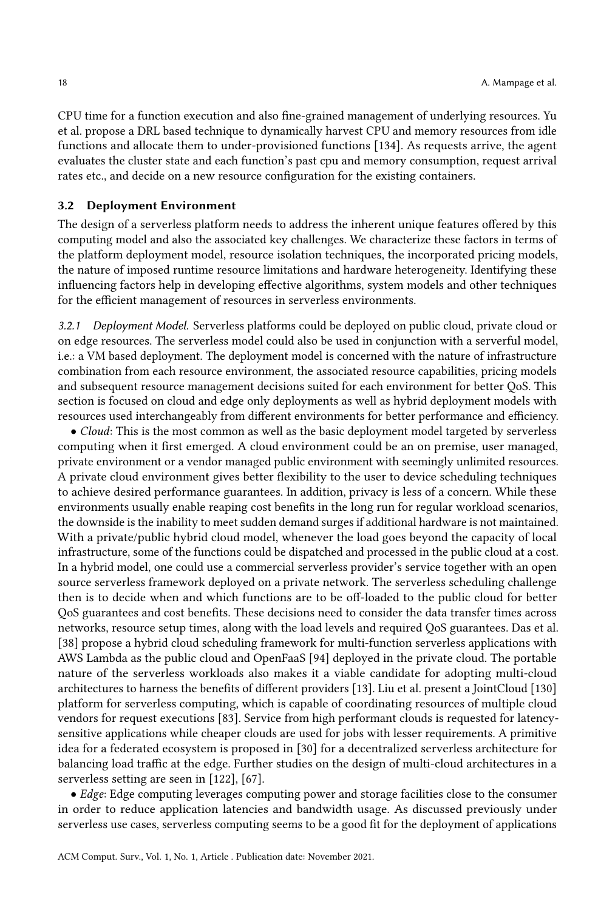CPU time for a function execution and also fine-grained management of underlying resources. Yu et al. propose a DRL based technique to dynamically harvest CPU and memory resources from idle functions and allocate them to under-provisioned functions [\[134\]](#page-37-7). As requests arrive, the agent evaluates the cluster state and each function's past cpu and memory consumption, request arrival rates etc., and decide on a new resource configuration for the existing containers.

#### 3.2 Deployment Environment

The design of a serverless platform needs to address the inherent unique features offered by this computing model and also the associated key challenges. We characterize these factors in terms of the platform deployment model, resource isolation techniques, the incorporated pricing models, the nature of imposed runtime resource limitations and hardware heterogeneity. Identifying these influencing factors help in developing effective algorithms, system models and other techniques for the efficient management of resources in serverless environments.

3.2.1 Deployment Model. Serverless platforms could be deployed on public cloud, private cloud or on edge resources. The serverless model could also be used in conjunction with a serverful model, i.e.: a VM based deployment. The deployment model is concerned with the nature of infrastructure combination from each resource environment, the associated resource capabilities, pricing models and subsequent resource management decisions suited for each environment for better QoS. This section is focused on cloud and edge only deployments as well as hybrid deployment models with resources used interchangeably from different environments for better performance and efficiency.

• Cloud: This is the most common as well as the basic deployment model targeted by serverless computing when it first emerged. A cloud environment could be an on premise, user managed, private environment or a vendor managed public environment with seemingly unlimited resources. A private cloud environment gives better flexibility to the user to device scheduling techniques to achieve desired performance guarantees. In addition, privacy is less of a concern. While these environments usually enable reaping cost benefits in the long run for regular workload scenarios, the downside is the inability to meet sudden demand surges if additional hardware is not maintained. With a private/public hybrid cloud model, whenever the load goes beyond the capacity of local infrastructure, some of the functions could be dispatched and processed in the public cloud at a cost. In a hybrid model, one could use a commercial serverless provider's service together with an open source serverless framework deployed on a private network. The serverless scheduling challenge then is to decide when and which functions are to be off-loaded to the public cloud for better QoS guarantees and cost benefits. These decisions need to consider the data transfer times across networks, resource setup times, along with the load levels and required QoS guarantees. Das et al. [\[38\]](#page-32-10) propose a hybrid cloud scheduling framework for multi-function serverless applications with AWS Lambda as the public cloud and OpenFaaS [\[94\]](#page-35-4) deployed in the private cloud. The portable nature of the serverless workloads also makes it a viable candidate for adopting multi-cloud architectures to harness the benefits of different providers [\[13\]](#page-31-7). Liu et al. present a JointCloud [\[130\]](#page-36-15) platform for serverless computing, which is capable of coordinating resources of multiple cloud vendors for request executions [\[83\]](#page-34-13). Service from high performant clouds is requested for latencysensitive applications while cheaper clouds are used for jobs with lesser requirements. A primitive idea for a federated ecosystem is proposed in [\[30\]](#page-32-15) for a decentralized serverless architecture for balancing load traffic at the edge. Further studies on the design of multi-cloud architectures in a serverless setting are seen in [\[122\]](#page-36-16), [\[67\]](#page-34-14).

• Edge: Edge computing leverages computing power and storage facilities close to the consumer in order to reduce application latencies and bandwidth usage. As discussed previously under serverless use cases, serverless computing seems to be a good fit for the deployment of applications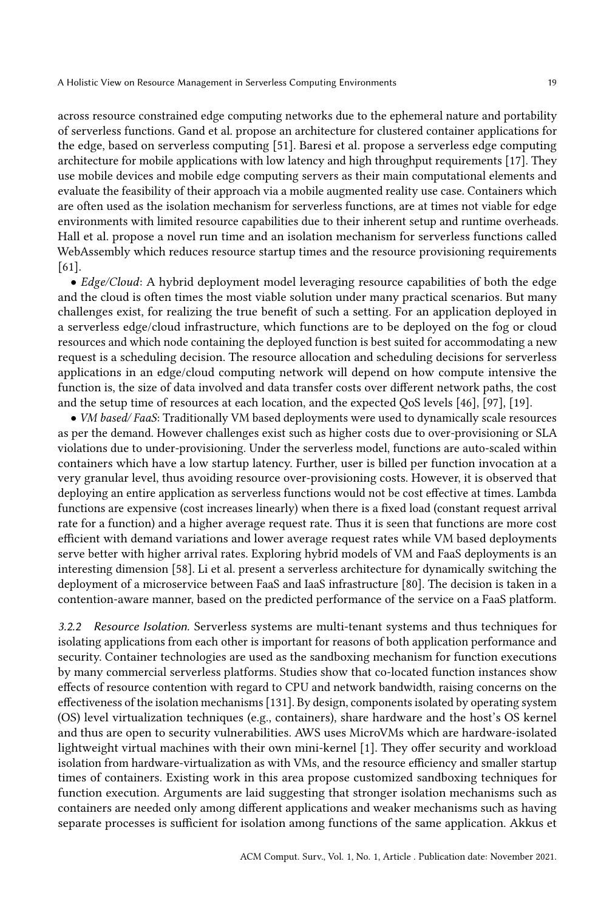across resource constrained edge computing networks due to the ephemeral nature and portability of serverless functions. Gand et al. propose an architecture for clustered container applications for the edge, based on serverless computing [\[51\]](#page-33-16). Baresi et al. propose a serverless edge computing architecture for mobile applications with low latency and high throughput requirements [\[17\]](#page-32-16). They use mobile devices and mobile edge computing servers as their main computational elements and evaluate the feasibility of their approach via a mobile augmented reality use case. Containers which are often used as the isolation mechanism for serverless functions, are at times not viable for edge environments with limited resource capabilities due to their inherent setup and runtime overheads. Hall et al. propose a novel run time and an isolation mechanism for serverless functions called WebAssembly which reduces resource startup times and the resource provisioning requirements [\[61\]](#page-33-17).

• Edge/Cloud: A hybrid deployment model leveraging resource capabilities of both the edge and the cloud is often times the most viable solution under many practical scenarios. But many challenges exist, for realizing the true benefit of such a setting. For an application deployed in a serverless edge/cloud infrastructure, which functions are to be deployed on the fog or cloud resources and which node containing the deployed function is best suited for accommodating a new request is a scheduling decision. The resource allocation and scheduling decisions for serverless applications in an edge/cloud computing network will depend on how compute intensive the function is, the size of data involved and data transfer costs over different network paths, the cost and the setup time of resources at each location, and the expected QoS levels [\[46\]](#page-33-7), [\[97\]](#page-35-8), [\[19\]](#page-32-5).

• VM based/ FaaS: Traditionally VM based deployments were used to dynamically scale resources as per the demand. However challenges exist such as higher costs due to over-provisioning or SLA violations due to under-provisioning. Under the serverless model, functions are auto-scaled within containers which have a low startup latency. Further, user is billed per function invocation at a very granular level, thus avoiding resource over-provisioning costs. However, it is observed that deploying an entire application as serverless functions would not be cost effective at times. Lambda functions are expensive (cost increases linearly) when there is a fixed load (constant request arrival rate for a function) and a higher average request rate. Thus it is seen that functions are more cost efficient with demand variations and lower average request rates while VM based deployments serve better with higher arrival rates. Exploring hybrid models of VM and FaaS deployments is an interesting dimension [\[58\]](#page-33-8). Li et al. present a serverless architecture for dynamically switching the deployment of a microservice between FaaS and IaaS infrastructure [\[80\]](#page-34-15). The decision is taken in a contention-aware manner, based on the predicted performance of the service on a FaaS platform.

3.2.2 Resource Isolation. Serverless systems are multi-tenant systems and thus techniques for isolating applications from each other is important for reasons of both application performance and security. Container technologies are used as the sandboxing mechanism for function executions by many commercial serverless platforms. Studies show that co-located function instances show effects of resource contention with regard to CPU and network bandwidth, raising concerns on the effectiveness of the isolation mechanisms [\[131\]](#page-36-1). By design, components isolated by operating system (OS) level virtualization techniques (e.g., containers), share hardware and the host's OS kernel and thus are open to security vulnerabilities. AWS uses MicroVMs which are hardware-isolated lightweight virtual machines with their own mini-kernel [\[1\]](#page-31-1). They offer security and workload isolation from hardware-virtualization as with VMs, and the resource efficiency and smaller startup times of containers. Existing work in this area propose customized sandboxing techniques for function execution. Arguments are laid suggesting that stronger isolation mechanisms such as containers are needed only among different applications and weaker mechanisms such as having separate processes is sufficient for isolation among functions of the same application. Akkus et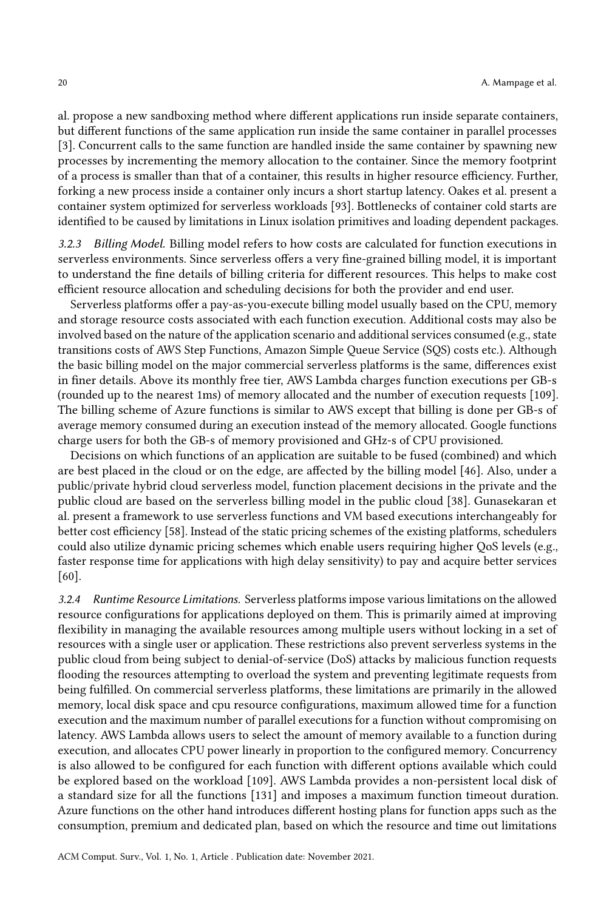al. propose a new sandboxing method where different applications run inside separate containers, but different functions of the same application run inside the same container in parallel processes [\[3\]](#page-31-8). Concurrent calls to the same function are handled inside the same container by spawning new processes by incrementing the memory allocation to the container. Since the memory footprint of a process is smaller than that of a container, this results in higher resource efficiency. Further, forking a new process inside a container only incurs a short startup latency. Oakes et al. present a container system optimized for serverless workloads [\[93\]](#page-35-15). Bottlenecks of container cold starts are identified to be caused by limitations in Linux isolation primitives and loading dependent packages.

3.2.3 Billing Model. Billing model refers to how costs are calculated for function executions in serverless environments. Since serverless offers a very fine-grained billing model, it is important to understand the fine details of billing criteria for different resources. This helps to make cost efficient resource allocation and scheduling decisions for both the provider and end user.

Serverless platforms offer a pay-as-you-execute billing model usually based on the CPU, memory and storage resource costs associated with each function execution. Additional costs may also be involved based on the nature of the application scenario and additional services consumed (e.g., state transitions costs of AWS Step Functions, Amazon Simple Queue Service (SQS) costs etc.). Although the basic billing model on the major commercial serverless platforms is the same, differences exist in finer details. Above its monthly free tier, AWS Lambda charges function executions per GB-s (rounded up to the nearest 1ms) of memory allocated and the number of execution requests [\[109\]](#page-36-2). The billing scheme of Azure functions is similar to AWS except that billing is done per GB-s of average memory consumed during an execution instead of the memory allocated. Google functions charge users for both the GB-s of memory provisioned and GHz-s of CPU provisioned.

Decisions on which functions of an application are suitable to be fused (combined) and which are best placed in the cloud or on the edge, are affected by the billing model [\[46\]](#page-33-7). Also, under a public/private hybrid cloud serverless model, function placement decisions in the private and the public cloud are based on the serverless billing model in the public cloud [\[38\]](#page-32-10). Gunasekaran et al. present a framework to use serverless functions and VM based executions interchangeably for better cost efficiency [\[58\]](#page-33-8). Instead of the static pricing schemes of the existing platforms, schedulers could also utilize dynamic pricing schemes which enable users requiring higher QoS levels (e.g., faster response time for applications with high delay sensitivity) to pay and acquire better services [\[60\]](#page-33-18).

3.2.4 Runtime Resource Limitations. Serverless platforms impose various limitations on the allowed resource configurations for applications deployed on them. This is primarily aimed at improving flexibility in managing the available resources among multiple users without locking in a set of resources with a single user or application. These restrictions also prevent serverless systems in the public cloud from being subject to denial-of-service (DoS) attacks by malicious function requests flooding the resources attempting to overload the system and preventing legitimate requests from being fulfilled. On commercial serverless platforms, these limitations are primarily in the allowed memory, local disk space and cpu resource configurations, maximum allowed time for a function execution and the maximum number of parallel executions for a function without compromising on latency. AWS Lambda allows users to select the amount of memory available to a function during execution, and allocates CPU power linearly in proportion to the configured memory. Concurrency is also allowed to be configured for each function with different options available which could be explored based on the workload [\[109\]](#page-36-2). AWS Lambda provides a non-persistent local disk of a standard size for all the functions [\[131\]](#page-36-1) and imposes a maximum function timeout duration. Azure functions on the other hand introduces different hosting plans for function apps such as the consumption, premium and dedicated plan, based on which the resource and time out limitations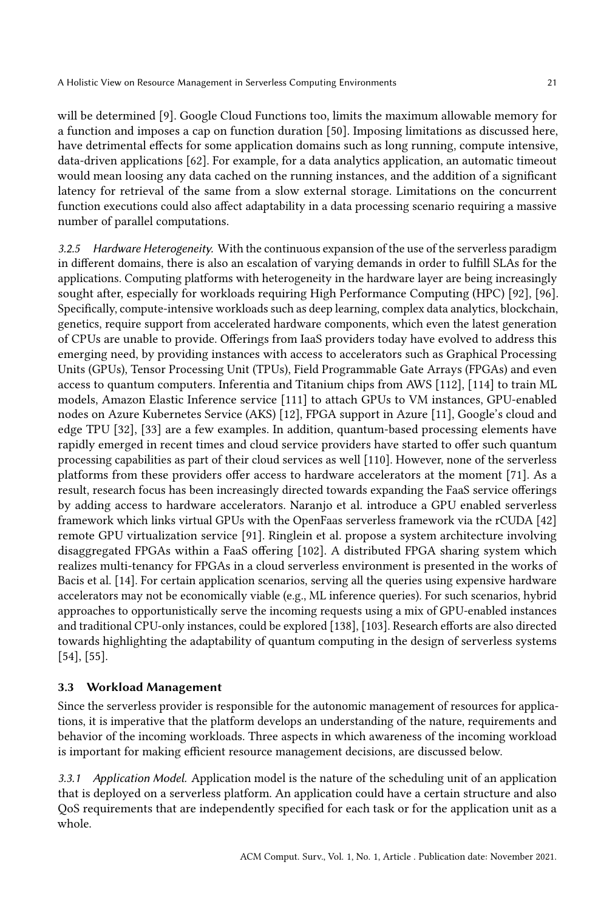will be determined [\[9\]](#page-31-2). Google Cloud Functions too, limits the maximum allowable memory for a function and imposes a cap on function duration [\[50\]](#page-33-19). Imposing limitations as discussed here, have detrimental effects for some application domains such as long running, compute intensive, data-driven applications [\[62\]](#page-34-1). For example, for a data analytics application, an automatic timeout would mean loosing any data cached on the running instances, and the addition of a significant latency for retrieval of the same from a slow external storage. Limitations on the concurrent function executions could also affect adaptability in a data processing scenario requiring a massive number of parallel computations.

3.2.5 Hardware Heterogeneity. With the continuous expansion of the use of the serverless paradigm in different domains, there is also an escalation of varying demands in order to fulfill SLAs for the applications. Computing platforms with heterogeneity in the hardware layer are being increasingly sought after, especially for workloads requiring High Performance Computing (HPC) [\[92\]](#page-35-16), [\[96\]](#page-35-17). Specifically, compute-intensive workloads such as deep learning, complex data analytics, blockchain, genetics, require support from accelerated hardware components, which even the latest generation of CPUs are unable to provide. Offerings from IaaS providers today have evolved to address this emerging need, by providing instances with access to accelerators such as Graphical Processing Units (GPUs), Tensor Processing Unit (TPUs), Field Programmable Gate Arrays (FPGAs) and even access to quantum computers. Inferentia and Titanium chips from AWS [\[112\]](#page-36-17), [\[114\]](#page-36-18) to train ML models, Amazon Elastic Inference service [\[111\]](#page-36-19) to attach GPUs to VM instances, GPU-enabled nodes on Azure Kubernetes Service (AKS) [\[12\]](#page-31-9), FPGA support in Azure [\[11\]](#page-31-10), Google's cloud and edge TPU [\[32\]](#page-32-17), [\[33\]](#page-32-18) are a few examples. In addition, quantum-based processing elements have rapidly emerged in recent times and cloud service providers have started to offer such quantum processing capabilities as part of their cloud services as well [\[110\]](#page-36-20). However, none of the serverless platforms from these providers offer access to hardware accelerators at the moment [\[71\]](#page-34-16). As a result, research focus has been increasingly directed towards expanding the FaaS service offerings by adding access to hardware accelerators. Naranjo et al. introduce a GPU enabled serverless framework which links virtual GPUs with the OpenFaas serverless framework via the rCUDA [\[42\]](#page-33-20) remote GPU virtualization service [\[91\]](#page-35-18). Ringlein et al. propose a system architecture involving disaggregated FPGAs within a FaaS offering [\[102\]](#page-35-19). A distributed FPGA sharing system which realizes multi-tenancy for FPGAs in a cloud serverless environment is presented in the works of Bacis et al. [\[14\]](#page-31-11). For certain application scenarios, serving all the queries using expensive hardware accelerators may not be economically viable (e.g., ML inference queries). For such scenarios, hybrid approaches to opportunistically serve the incoming requests using a mix of GPU-enabled instances and traditional CPU-only instances, could be explored [\[138\]](#page-37-8), [\[103\]](#page-35-20). Research efforts are also directed towards highlighting the adaptability of quantum computing in the design of serverless systems [\[54\]](#page-33-21), [\[55\]](#page-33-22).

## 3.3 Workload Management

Since the serverless provider is responsible for the autonomic management of resources for applications, it is imperative that the platform develops an understanding of the nature, requirements and behavior of the incoming workloads. Three aspects in which awareness of the incoming workload is important for making efficient resource management decisions, are discussed below.

3.3.1 Application Model. Application model is the nature of the scheduling unit of an application that is deployed on a serverless platform. An application could have a certain structure and also QoS requirements that are independently specified for each task or for the application unit as a whole.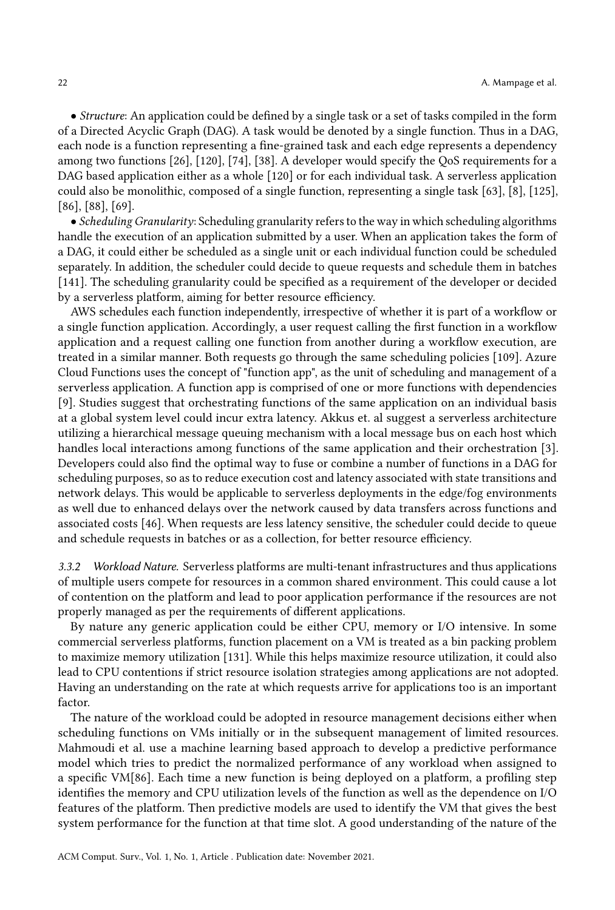• Structure: An application could be defined by a single task or a set of tasks compiled in the form of a Directed Acyclic Graph (DAG). A task would be denoted by a single function. Thus in a DAG, each node is a function representing a fine-grained task and each edge represents a dependency among two functions [\[26\]](#page-32-19), [\[120\]](#page-36-7), [\[74\]](#page-34-17), [\[38\]](#page-32-10). A developer would specify the QoS requirements for a DAG based application either as a whole [\[120\]](#page-36-7) or for each individual task. A serverless application could also be monolithic, composed of a single function, representing a single task [\[63\]](#page-34-18), [\[8\]](#page-31-12), [\[125\]](#page-36-3), [\[86\]](#page-35-12), [\[88\]](#page-35-10), [\[69\]](#page-34-19).

• Scheduling Granularity: Scheduling granularity refers to the way in which scheduling algorithms handle the execution of an application submitted by a user. When an application takes the form of a DAG, it could either be scheduled as a single unit or each individual function could be scheduled separately. In addition, the scheduler could decide to queue requests and schedule them in batches [\[141\]](#page-37-4). The scheduling granularity could be specified as a requirement of the developer or decided by a serverless platform, aiming for better resource efficiency.

AWS schedules each function independently, irrespective of whether it is part of a workflow or a single function application. Accordingly, a user request calling the first function in a workflow application and a request calling one function from another during a workflow execution, are treated in a similar manner. Both requests go through the same scheduling policies [\[109\]](#page-36-2). Azure Cloud Functions uses the concept of "function app", as the unit of scheduling and management of a serverless application. A function app is comprised of one or more functions with dependencies [\[9\]](#page-31-2). Studies suggest that orchestrating functions of the same application on an individual basis at a global system level could incur extra latency. Akkus et. al suggest a serverless architecture utilizing a hierarchical message queuing mechanism with a local message bus on each host which handles local interactions among functions of the same application and their orchestration [\[3\]](#page-31-8). Developers could also find the optimal way to fuse or combine a number of functions in a DAG for scheduling purposes, so as to reduce execution cost and latency associated with state transitions and network delays. This would be applicable to serverless deployments in the edge/fog environments as well due to enhanced delays over the network caused by data transfers across functions and associated costs [\[46\]](#page-33-7). When requests are less latency sensitive, the scheduler could decide to queue and schedule requests in batches or as a collection, for better resource efficiency.

3.3.2 Workload Nature. Serverless platforms are multi-tenant infrastructures and thus applications of multiple users compete for resources in a common shared environment. This could cause a lot of contention on the platform and lead to poor application performance if the resources are not properly managed as per the requirements of different applications.

By nature any generic application could be either CPU, memory or I/O intensive. In some commercial serverless platforms, function placement on a VM is treated as a bin packing problem to maximize memory utilization [\[131\]](#page-36-1). While this helps maximize resource utilization, it could also lead to CPU contentions if strict resource isolation strategies among applications are not adopted. Having an understanding on the rate at which requests arrive for applications too is an important factor.

The nature of the workload could be adopted in resource management decisions either when scheduling functions on VMs initially or in the subsequent management of limited resources. Mahmoudi et al. use a machine learning based approach to develop a predictive performance model which tries to predict the normalized performance of any workload when assigned to a specific VM[\[86\]](#page-35-12). Each time a new function is being deployed on a platform, a profiling step identifies the memory and CPU utilization levels of the function as well as the dependence on I/O features of the platform. Then predictive models are used to identify the VM that gives the best system performance for the function at that time slot. A good understanding of the nature of the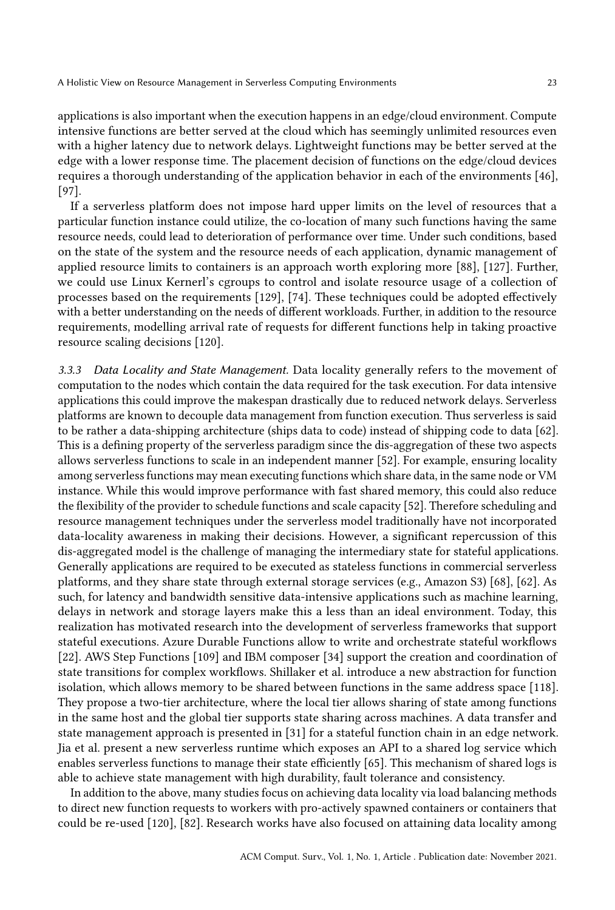applications is also important when the execution happens in an edge/cloud environment. Compute intensive functions are better served at the cloud which has seemingly unlimited resources even with a higher latency due to network delays. Lightweight functions may be better served at the edge with a lower response time. The placement decision of functions on the edge/cloud devices requires a thorough understanding of the application behavior in each of the environments [\[46\]](#page-33-7), [\[97\]](#page-35-8).

If a serverless platform does not impose hard upper limits on the level of resources that a particular function instance could utilize, the co-location of many such functions having the same resource needs, could lead to deterioration of performance over time. Under such conditions, based on the state of the system and the resource needs of each application, dynamic management of applied resource limits to containers is an approach worth exploring more [\[88\]](#page-35-10), [\[127\]](#page-36-9). Further, we could use Linux Kernerl's cgroups to control and isolate resource usage of a collection of processes based on the requirements [\[129\]](#page-36-14), [\[74\]](#page-34-17). These techniques could be adopted effectively with a better understanding on the needs of different workloads. Further, in addition to the resource requirements, modelling arrival rate of requests for different functions help in taking proactive resource scaling decisions [\[120\]](#page-36-7).

3.3.3 Data Locality and State Management. Data locality generally refers to the movement of computation to the nodes which contain the data required for the task execution. For data intensive applications this could improve the makespan drastically due to reduced network delays. Serverless platforms are known to decouple data management from function execution. Thus serverless is said to be rather a data-shipping architecture (ships data to code) instead of shipping code to data [\[62\]](#page-34-1). This is a defining property of the serverless paradigm since the dis-aggregation of these two aspects allows serverless functions to scale in an independent manner [\[52\]](#page-33-1). For example, ensuring locality among serverless functions may mean executing functions which share data, in the same node or VM instance. While this would improve performance with fast shared memory, this could also reduce the flexibility of the provider to schedule functions and scale capacity [\[52\]](#page-33-1). Therefore scheduling and resource management techniques under the serverless model traditionally have not incorporated data-locality awareness in making their decisions. However, a significant repercussion of this dis-aggregated model is the challenge of managing the intermediary state for stateful applications. Generally applications are required to be executed as stateless functions in commercial serverless platforms, and they share state through external storage services (e.g., Amazon S3) [\[68\]](#page-34-0), [\[62\]](#page-34-1). As such, for latency and bandwidth sensitive data-intensive applications such as machine learning, delays in network and storage layers make this a less than an ideal environment. Today, this realization has motivated research into the development of serverless frameworks that support stateful executions. Azure Durable Functions allow to write and orchestrate stateful workflows [\[22\]](#page-32-2). AWS Step Functions [\[109\]](#page-36-2) and IBM composer [\[34\]](#page-32-3) support the creation and coordination of state transitions for complex workflows. Shillaker et al. introduce a new abstraction for function isolation, which allows memory to be shared between functions in the same address space [\[118\]](#page-36-21). They propose a two-tier architecture, where the local tier allows sharing of state among functions in the same host and the global tier supports state sharing across machines. A data transfer and state management approach is presented in [\[31\]](#page-32-20) for a stateful function chain in an edge network. Jia et al. present a new serverless runtime which exposes an API to a shared log service which enables serverless functions to manage their state efficiently [\[65\]](#page-34-20). This mechanism of shared logs is able to achieve state management with high durability, fault tolerance and consistency.

In addition to the above, many studies focus on achieving data locality via load balancing methods to direct new function requests to workers with pro-actively spawned containers or containers that could be re-used [\[120\]](#page-36-7), [\[82\]](#page-34-11). Research works have also focused on attaining data locality among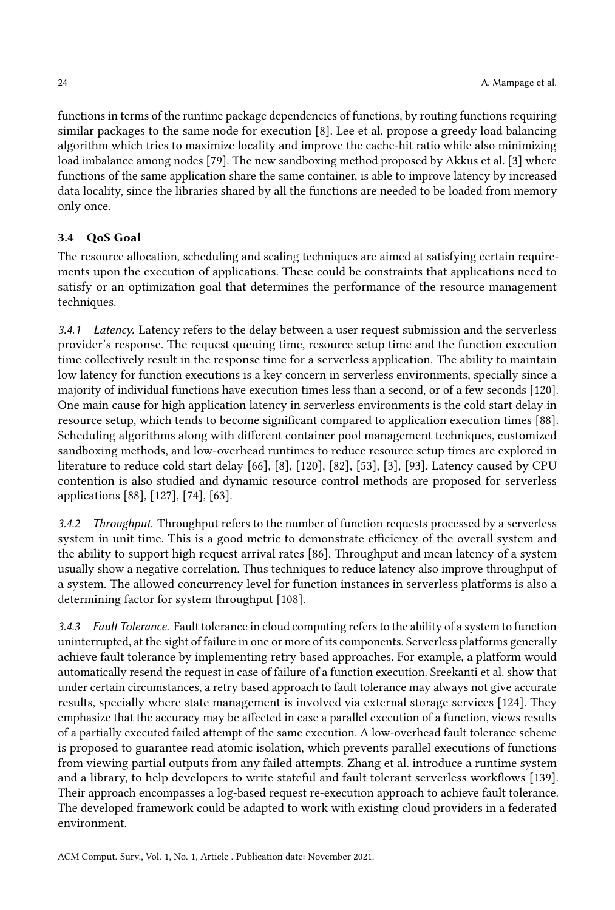functions in terms of the runtime package dependencies of functions, by routing functions requiring similar packages to the same node for execution [\[8\]](#page-31-12). Lee et al. propose a greedy load balancing algorithm which tries to maximize locality and improve the cache-hit ratio while also minimizing load imbalance among nodes [\[79\]](#page-34-21). The new sandboxing method proposed by Akkus et al. [\[3\]](#page-31-8) where functions of the same application share the same container, is able to improve latency by increased data locality, since the libraries shared by all the functions are needed to be loaded from memory only once.

## 3.4 QoS Goal

The resource allocation, scheduling and scaling techniques are aimed at satisfying certain requirements upon the execution of applications. These could be constraints that applications need to satisfy or an optimization goal that determines the performance of the resource management techniques.

3.4.1 Latency. Latency refers to the delay between a user request submission and the serverless provider's response. The request queuing time, resource setup time and the function execution time collectively result in the response time for a serverless application. The ability to maintain low latency for function executions is a key concern in serverless environments, specially since a majority of individual functions have execution times less than a second, or of a few seconds [\[120\]](#page-36-7). One main cause for high application latency in serverless environments is the cold start delay in resource setup, which tends to become significant compared to application execution times [\[88\]](#page-35-10). Scheduling algorithms along with different container pool management techniques, customized sandboxing methods, and low-overhead runtimes to reduce resource setup times are explored in literature to reduce cold start delay [\[66\]](#page-34-22), [\[8\]](#page-31-12), [\[120\]](#page-36-7), [\[82\]](#page-34-11), [\[53\]](#page-33-14), [\[3\]](#page-31-8), [\[93\]](#page-35-15). Latency caused by CPU contention is also studied and dynamic resource control methods are proposed for serverless applications [\[88\]](#page-35-10), [\[127\]](#page-36-9), [\[74\]](#page-34-17), [\[63\]](#page-34-18).

3.4.2 Throughput. Throughput refers to the number of function requests processed by a serverless system in unit time. This is a good metric to demonstrate efficiency of the overall system and the ability to support high request arrival rates [\[86\]](#page-35-12). Throughput and mean latency of a system usually show a negative correlation. Thus techniques to reduce latency also improve throughput of a system. The allowed concurrency level for function instances in serverless platforms is also a determining factor for system throughput [\[108\]](#page-35-11).

3.4.3 Fault Tolerance. Fault tolerance in cloud computing refers to the ability of a system to function uninterrupted, at the sight of failure in one or more of its components. Serverless platforms generally achieve fault tolerance by implementing retry based approaches. For example, a platform would automatically resend the request in case of failure of a function execution. Sreekanti et al. show that under certain circumstances, a retry based approach to fault tolerance may always not give accurate results, specially where state management is involved via external storage services [\[124\]](#page-36-22). They emphasize that the accuracy may be affected in case a parallel execution of a function, views results of a partially executed failed attempt of the same execution. A low-overhead fault tolerance scheme is proposed to guarantee read atomic isolation, which prevents parallel executions of functions from viewing partial outputs from any failed attempts. Zhang et al. introduce a runtime system and a library, to help developers to write stateful and fault tolerant serverless workflows [\[139\]](#page-37-9). Their approach encompasses a log-based request re-execution approach to achieve fault tolerance. The developed framework could be adapted to work with existing cloud providers in a federated environment.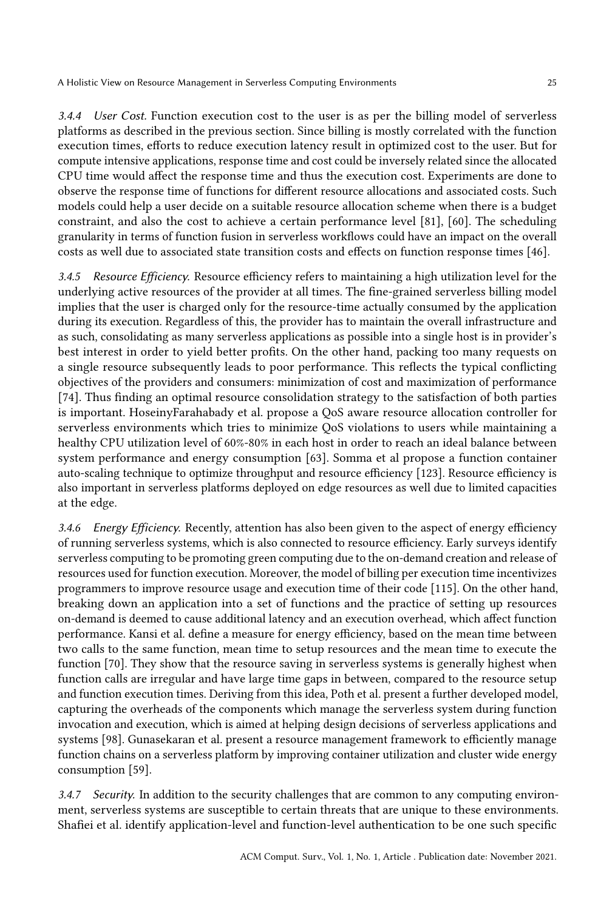3.4.4 User Cost. Function execution cost to the user is as per the billing model of serverless platforms as described in the previous section. Since billing is mostly correlated with the function execution times, efforts to reduce execution latency result in optimized cost to the user. But for compute intensive applications, response time and cost could be inversely related since the allocated CPU time would affect the response time and thus the execution cost. Experiments are done to observe the response time of functions for different resource allocations and associated costs. Such models could help a user decide on a suitable resource allocation scheme when there is a budget constraint, and also the cost to achieve a certain performance level [\[81\]](#page-34-8), [\[60\]](#page-33-18). The scheduling granularity in terms of function fusion in serverless workflows could have an impact on the overall costs as well due to associated state transition costs and effects on function response times [\[46\]](#page-33-7).

3.4.5 Resource Efficiency. Resource efficiency refers to maintaining a high utilization level for the underlying active resources of the provider at all times. The fine-grained serverless billing model implies that the user is charged only for the resource-time actually consumed by the application during its execution. Regardless of this, the provider has to maintain the overall infrastructure and as such, consolidating as many serverless applications as possible into a single host is in provider's best interest in order to yield better profits. On the other hand, packing too many requests on a single resource subsequently leads to poor performance. This reflects the typical conflicting objectives of the providers and consumers: minimization of cost and maximization of performance [\[74\]](#page-34-17). Thus finding an optimal resource consolidation strategy to the satisfaction of both parties is important. HoseinyFarahabady et al. propose a QoS aware resource allocation controller for serverless environments which tries to minimize QoS violations to users while maintaining a healthy CPU utilization level of 60%-80% in each host in order to reach an ideal balance between system performance and energy consumption [\[63\]](#page-34-18). Somma et al propose a function container auto-scaling technique to optimize throughput and resource efficiency [\[123\]](#page-36-13). Resource efficiency is also important in serverless platforms deployed on edge resources as well due to limited capacities at the edge.

3.4.6 Energy Efficiency. Recently, attention has also been given to the aspect of energy efficiency of running serverless systems, which is also connected to resource efficiency. Early surveys identify serverless computing to be promoting green computing due to the on-demand creation and release of resources used for function execution. Moreover, the model of billing per execution time incentivizes programmers to improve resource usage and execution time of their code [\[115\]](#page-36-0). On the other hand, breaking down an application into a set of functions and the practice of setting up resources on-demand is deemed to cause additional latency and an execution overhead, which affect function performance. Kansi et al. define a measure for energy efficiency, based on the mean time between two calls to the same function, mean time to setup resources and the mean time to execute the function [\[70\]](#page-34-23). They show that the resource saving in serverless systems is generally highest when function calls are irregular and have large time gaps in between, compared to the resource setup and function execution times. Deriving from this idea, Poth et al. present a further developed model, capturing the overheads of the components which manage the serverless system during function invocation and execution, which is aimed at helping design decisions of serverless applications and systems [\[98\]](#page-35-21). Gunasekaran et al. present a resource management framework to efficiently manage function chains on a serverless platform by improving container utilization and cluster wide energy consumption [\[59\]](#page-33-11).

3.4.7 Security. In addition to the security challenges that are common to any computing environment, serverless systems are susceptible to certain threats that are unique to these environments. Shafiei et al. identify application-level and function-level authentication to be one such specific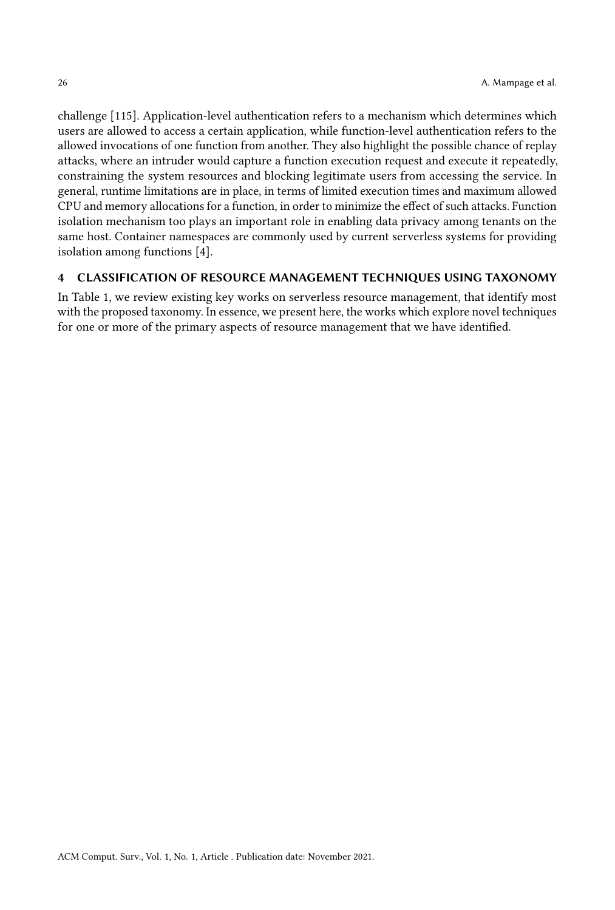challenge [\[115\]](#page-36-0). Application-level authentication refers to a mechanism which determines which users are allowed to access a certain application, while function-level authentication refers to the allowed invocations of one function from another. They also highlight the possible chance of replay attacks, where an intruder would capture a function execution request and execute it repeatedly, constraining the system resources and blocking legitimate users from accessing the service. In general, runtime limitations are in place, in terms of limited execution times and maximum allowed CPU and memory allocations for a function, in order to minimize the effect of such attacks. Function isolation mechanism too plays an important role in enabling data privacy among tenants on the same host. Container namespaces are commonly used by current serverless systems for providing isolation among functions [\[4\]](#page-31-13).

## 4 CLASSIFICATION OF RESOURCE MANAGEMENT TECHNIQUES USING TAXONOMY

In Table [1,](#page-26-0) we review existing key works on serverless resource management, that identify most with the proposed taxonomy. In essence, we present here, the works which explore novel techniques for one or more of the primary aspects of resource management that we have identified.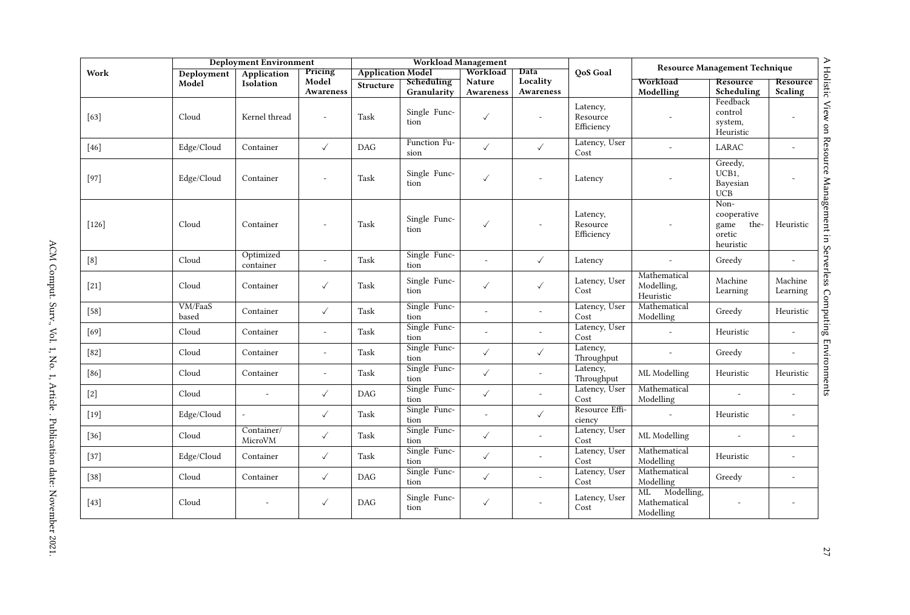<span id="page-26-0"></span>

|         |                  | <b>Deployment Environment</b> |                               |                          | <b>Workload Management</b> |                     |                          |                                    | <b>Resource Management Technique</b>          |                                                            |                          |
|---------|------------------|-------------------------------|-------------------------------|--------------------------|----------------------------|---------------------|--------------------------|------------------------------------|-----------------------------------------------|------------------------------------------------------------|--------------------------|
| Work    | Deployment       | Application<br>Isolation      | Pricing<br>Model<br>Awareness | <b>Application Model</b> |                            | Data<br>Workload    |                          | <b>QoS</b> Goal                    |                                               |                                                            |                          |
|         | Model            |                               |                               | <b>Structure</b>         | Scheduling<br>Granularity  | Nature<br>Awareness | Locality<br>Awareness    |                                    | Workload<br>Modelling                         | Resource<br>Scheduling                                     | Resource<br>Scaling      |
| $[63]$  | Cloud            | Kernel thread                 | $\overline{\phantom{a}}$      | Task                     | Single Func-<br>tion       | $\checkmark$        | $\overline{a}$           | Latency,<br>Resource<br>Efficiency |                                               | Feedback<br>control<br>system,<br>Heuristic                |                          |
| $[46]$  | Edge/Cloud       | Container                     | $\checkmark$                  | <b>DAG</b>               | Function Fu-<br>sion       | $\checkmark$        | $\checkmark$             | Latency, User<br>Cost              | $\overline{a}$                                | LARAC                                                      | $\overline{\phantom{a}}$ |
| $[97]$  | Edge/Cloud       | Container                     |                               | Task                     | Single Func-<br>tion       | $\checkmark$        |                          | Latency                            |                                               | Greedy,<br>UCB1,<br>Bayesian<br><b>UCB</b>                 |                          |
| $[126]$ | Cloud            | Container                     |                               | Task                     | Single Func-<br>tion       | $\checkmark$        |                          | Latency,<br>Resource<br>Efficiency |                                               | Non-<br>cooperative<br>game<br>the-<br>oretic<br>heuristic | Heuristic                |
| [8]     | Cloud            | Optimized<br>container        | $\overline{\phantom{a}}$      | Task                     | Single Func-<br>tion       |                     | $\checkmark$             | Latency                            | $\sim$                                        | Greedy                                                     | $\overline{\phantom{a}}$ |
| $[21]$  | Cloud            | Container                     | $\checkmark$                  | Task                     | Single Func-<br>tion       | $\checkmark$        | $\checkmark$             | Latency, User<br>Cost              | Mathematical<br>Modelling,<br>Heuristic       | Machine<br>Learning                                        | Machine<br>Learning      |
| $[58]$  | VM/FaaS<br>based | Container                     | $\checkmark$                  | Task                     | Single Func-<br>tion       |                     | $\overline{a}$           | Latency, User<br>Cost              | Mathematical<br>Modelling                     | Greedy                                                     | Heuristic                |
| $[69]$  | Cloud            | Container                     | $\overline{\phantom{a}}$      | Task                     | Single Func-<br>tion       |                     | $\overline{a}$           | Latency, User<br>Cost              | $\sim$                                        | Heuristic                                                  |                          |
| $[82]$  | Cloud            | Container                     | $\overline{\phantom{a}}$      | Task                     | Single Func-<br>tion       | $\checkmark$        | $\checkmark$             | Latency,<br>Throughput             | $\overline{\phantom{a}}$                      | Greedy                                                     | $\overline{a}$           |
| $[86]$  | Cloud            | Container                     | $\overline{\phantom{a}}$      | Task                     | Single Func-<br>tion       | $\checkmark$        | $\overline{a}$           | Latency,<br>Throughput             | ML Modelling                                  | Heuristic                                                  | Heuristic                |
| $[2]$   | Cloud            | $\sim$                        | $\checkmark$                  | <b>DAG</b>               | Single Func-<br>tion       | $\checkmark$        | $\overline{\phantom{a}}$ | Latency, User<br>Cost              | Mathematical<br>Modelling                     | L,                                                         |                          |
| $[19]$  | Edge/Cloud       | $\overline{a}$                | $\checkmark$                  | Task                     | Single Func-<br>tion       |                     | $\checkmark$             | Resource Effi-<br>ciency           | $\sim$                                        | Heuristic                                                  | $\overline{\phantom{a}}$ |
| $[36]$  | Cloud            | Container/<br>MicroVM         | $\checkmark$                  | Task                     | Single Func-<br>tion       | $\checkmark$        | $\overline{a}$           | Latency, User<br>Cost              | ML Modelling                                  |                                                            | $\overline{a}$           |
| $[37]$  | Edge/Cloud       | Container                     | $\checkmark$                  | Task                     | Single Func-<br>tion       | $\checkmark$        | $\overline{a}$           | Latency, User<br>Cost              | Mathematical<br>Modelling                     | Heuristic                                                  | $\overline{a}$           |
| $[38]$  | Cloud            | Container                     | $\checkmark$                  | DAG                      | Single Func-<br>tion       | $\checkmark$        | $\overline{a}$           | Latency, User<br>Cost              | Mathematical<br>Modelling                     | Greedy                                                     | $\overline{\phantom{a}}$ |
| $[43]$  | Cloud            | $\overline{\phantom{a}}$      | $\checkmark$                  | DAG                      | Single Func-<br>tion       | $\checkmark$        | $\overline{\phantom{a}}$ | Latency, User<br>Cost              | Modelling,<br>ML<br>Mathematical<br>Modelling | $\overline{\phantom{a}}$                                   | $\overline{\phantom{a}}$ |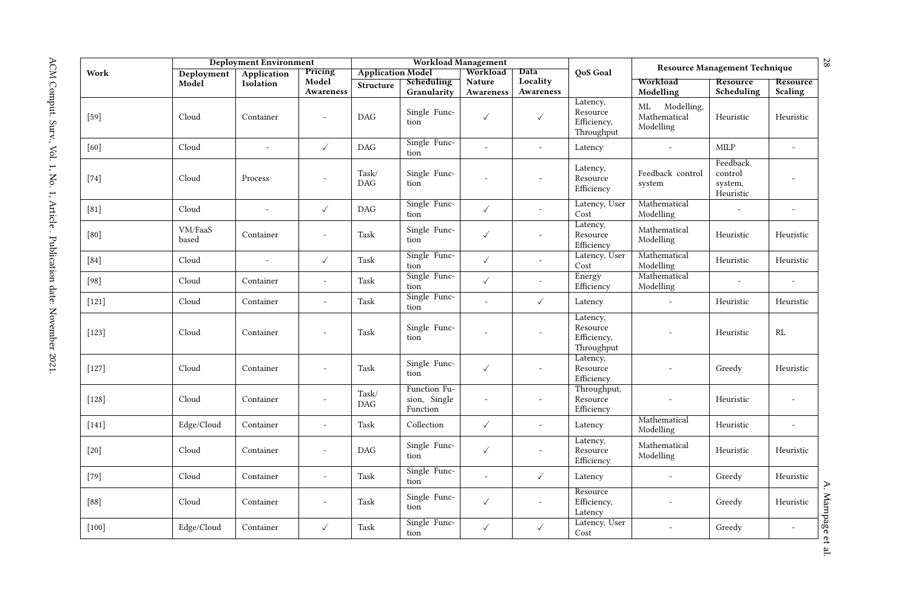|         | <b>Deployment Environment</b> |             |                          | Workload Management      |                                          |                          |                          |                                                   | <b>Resource Management Technique</b>       |                                             |                          | 28         |
|---------|-------------------------------|-------------|--------------------------|--------------------------|------------------------------------------|--------------------------|--------------------------|---------------------------------------------------|--------------------------------------------|---------------------------------------------|--------------------------|------------|
| Work    | Deployment                    | Application | Pricing                  | <b>Application Model</b> |                                          | Workload                 | Data                     | OoS Goal                                          |                                            |                                             |                          |            |
|         | Model                         | Isolation   | Model<br>Awareness       | <b>Structure</b>         | Scheduling<br>Granularity                | Nature<br>Awareness      | Locality<br>Awareness    |                                                   | Workload<br>Modelling                      | Resource<br>Scheduling                      | Resource<br>Scaling      |            |
| $[59]$  | Cloud                         | Container   | $\overline{a}$           | DAG                      | Single Func-<br>tion                     | $\checkmark$             | $\checkmark$             | Latency,<br>Resource<br>Efficiency,<br>Throughput | ML Modelling,<br>Mathematical<br>Modelling | Heuristic                                   | Heuristic                |            |
| [60]    | Cloud                         | $\sim$      | $\checkmark$             | <b>DAG</b>               | Single Func-<br>tion                     | $\overline{a}$           | $\overline{a}$           | Latency                                           | $\overline{\phantom{a}}$                   | <b>MILP</b>                                 | $\overline{a}$           |            |
| $[74]$  | Cloud                         | Process     | $\overline{a}$           | Task/<br><b>DAG</b>      | Single Func-<br>tion                     |                          |                          | Latency,<br>Resource<br>Efficiency                | Feedback control<br>system                 | Feedback<br>control<br>system,<br>Heuristic |                          |            |
| [81]    | Cloud                         | $\sim$      | $\checkmark$             | DAG                      | Single Func-<br>tion                     | $\checkmark$             | $\overline{a}$           | Latency, User<br>Cost                             | Mathematical<br>Modelling                  | $\overline{a}$                              | $\overline{a}$           |            |
| [80]    | VM/FaaS<br>based              | Container   | $\overline{\phantom{a}}$ | Task                     | Single Func-<br>tion                     | $\checkmark$             |                          | Latency,<br>Resource<br>Efficiency                | Mathematical<br>Modelling                  | Heuristic                                   | Heuristic                |            |
| $[84]$  | Cloud                         | $\sim$      | $\checkmark$             | Task                     | Single Func-<br>tion                     | $\checkmark$             | $\overline{\phantom{a}}$ | Latency, User<br>Cost                             | Mathematical<br>Modelling                  | Heuristic                                   | Heuristic                |            |
| $[98]$  | Cloud                         | Container   | $\sim$                   | Task                     | Single Func-<br>tion                     | $\checkmark$             | $\overline{a}$           | Energy<br>Efficiency                              | Mathematical<br>Modelling                  | $\overline{a}$                              |                          |            |
| $[121]$ | Cloud                         | Container   | $\overline{\phantom{a}}$ | Task                     | Single Func-<br>tion                     | $\overline{\phantom{a}}$ | $\checkmark$             | Latency                                           | $\overline{\phantom{a}}$                   | Heuristic                                   | Heuristic                |            |
| $[123]$ | Cloud                         | Container   | $\overline{a}$           | Task                     | Single Func-<br>tion                     |                          | Ĭ.                       | Latency,<br>Resource<br>Efficiency,<br>Throughput |                                            | Heuristic                                   | RL                       |            |
| $[127]$ | Cloud                         | Container   | $\sim$                   | Task                     | Single Func-<br>tion                     | $\checkmark$             |                          | Latency,<br>Resource<br>Efficiency                |                                            | Greedy                                      | Heuristic                |            |
| $[128]$ | Cloud                         | Container   | $\sim$                   | Task/<br><b>DAG</b>      | Function Fu-<br>sion, Single<br>Function | $\overline{\phantom{a}}$ |                          | Throughput,<br>Resource<br>Efficiency             | $\overline{\phantom{a}}$                   | Heuristic                                   |                          |            |
| $[141]$ | Edge/Cloud                    | Container   | $\overline{a}$           | Task                     | Collection                               | $\checkmark$             | $\overline{a}$           | Latency                                           | Mathematical<br>Modelling                  | Heuristic                                   | $\overline{a}$           |            |
| $[20]$  | Cloud                         | Container   | $\overline{a}$           | DAG                      | Single Func-<br>tion                     | $\checkmark$             | $\overline{a}$           | Latency,<br>Resource<br>Efficiency                | Mathematical<br>Modelling                  | Heuristic                                   | Heuristic                |            |
| $[79]$  | Cloud                         | Container   | $\overline{\phantom{a}}$ | Task                     | Single Func-<br>tion                     | $\overline{\phantom{a}}$ | $\checkmark$             | Latency                                           | $\overline{\phantom{a}}$                   | Greedy                                      | Heuristic                | ≯          |
| $[88]$  | Cloud                         | Container   | $\overline{\phantom{a}}$ | Task                     | Single Func-<br>tion                     | $\checkmark$             | $\overline{\phantom{a}}$ | Resource<br>Efficiency,<br>Latency                |                                            | Greedy                                      | Heuristic                | Mampage et |
| $[100]$ | Edge/Cloud                    | Container   | ✓                        | Task                     | Single Func-<br>tion                     | $\checkmark$             | $\checkmark$             | Latency, User<br>Cost                             | $\overline{\phantom{a}}$                   | Greedy                                      | $\overline{\phantom{a}}$ |            |
|         |                               |             |                          |                          |                                          |                          |                          |                                                   |                                            |                                             |                          | <u>م:</u>  |

ACM Comput. Surv., Vol. 1, No. 1, Article . Publication date: November 2021. ACM Comput. Surv., Vol. 1, No. 1, Article . Publication date: November 2021.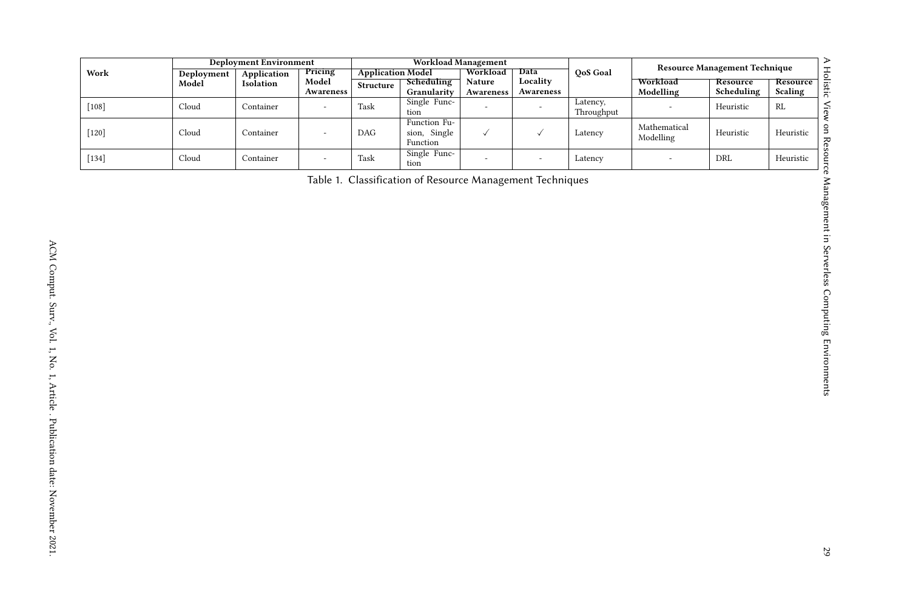| Data<br>Workload<br>QoS Goal<br>Pricing<br><b>Application Model</b><br>Work<br>Deployment<br>Application<br>Locality<br>Model<br>Resource<br>Workload<br>Resource<br>Scheduling<br>Nature<br>Isolation<br>Model<br>Structure<br>Awareness<br>Modelling<br>Awareness<br>Granularity<br>Scheduling<br>Scaling<br>Awareness<br>Single Func-<br>Latency,<br>$\left[108\right]$<br>$\operatorname{Cloud}$<br>Task<br>Container<br>Heuristic<br>$\mathbf{RL}$<br>$\mathcal{L}$<br>$\overline{a}$<br>Throughput<br>$\,$ tion<br>Function Fu-<br>$\label{th:nonlocal} {\bf Mathematical}$<br>Cloud<br>sion, Single<br>$\checkmark$<br>Heuristic<br>$[120]$<br>Container<br>DAG<br>$\checkmark$<br>Latency<br>Heuristic<br>$\overline{\phantom{a}}$<br>Modelling<br>Function<br>Single Func-<br>$\operatorname{Cloud}$<br>$\left[ 134\right]$<br>Container<br>Task<br>Latency<br>DRL<br>Heuristic<br>÷,<br>$\overline{\phantom{a}}$<br>÷<br>$\overline{\phantom{a}}$<br>tion<br>Table 1. Classification of Resource Management Techniques |  |                                      |  |  |
|----------------------------------------------------------------------------------------------------------------------------------------------------------------------------------------------------------------------------------------------------------------------------------------------------------------------------------------------------------------------------------------------------------------------------------------------------------------------------------------------------------------------------------------------------------------------------------------------------------------------------------------------------------------------------------------------------------------------------------------------------------------------------------------------------------------------------------------------------------------------------------------------------------------------------------------------------------------------------------------------------------------------------------|--|--------------------------------------|--|--|
|                                                                                                                                                                                                                                                                                                                                                                                                                                                                                                                                                                                                                                                                                                                                                                                                                                                                                                                                                                                                                                  |  | <b>Resource Management Technique</b> |  |  |
|                                                                                                                                                                                                                                                                                                                                                                                                                                                                                                                                                                                                                                                                                                                                                                                                                                                                                                                                                                                                                                  |  |                                      |  |  |
|                                                                                                                                                                                                                                                                                                                                                                                                                                                                                                                                                                                                                                                                                                                                                                                                                                                                                                                                                                                                                                  |  |                                      |  |  |
|                                                                                                                                                                                                                                                                                                                                                                                                                                                                                                                                                                                                                                                                                                                                                                                                                                                                                                                                                                                                                                  |  |                                      |  |  |
|                                                                                                                                                                                                                                                                                                                                                                                                                                                                                                                                                                                                                                                                                                                                                                                                                                                                                                                                                                                                                                  |  |                                      |  |  |
|                                                                                                                                                                                                                                                                                                                                                                                                                                                                                                                                                                                                                                                                                                                                                                                                                                                                                                                                                                                                                                  |  |                                      |  |  |
|                                                                                                                                                                                                                                                                                                                                                                                                                                                                                                                                                                                                                                                                                                                                                                                                                                                                                                                                                                                                                                  |  |                                      |  |  |
|                                                                                                                                                                                                                                                                                                                                                                                                                                                                                                                                                                                                                                                                                                                                                                                                                                                                                                                                                                                                                                  |  |                                      |  |  |
|                                                                                                                                                                                                                                                                                                                                                                                                                                                                                                                                                                                                                                                                                                                                                                                                                                                                                                                                                                                                                                  |  |                                      |  |  |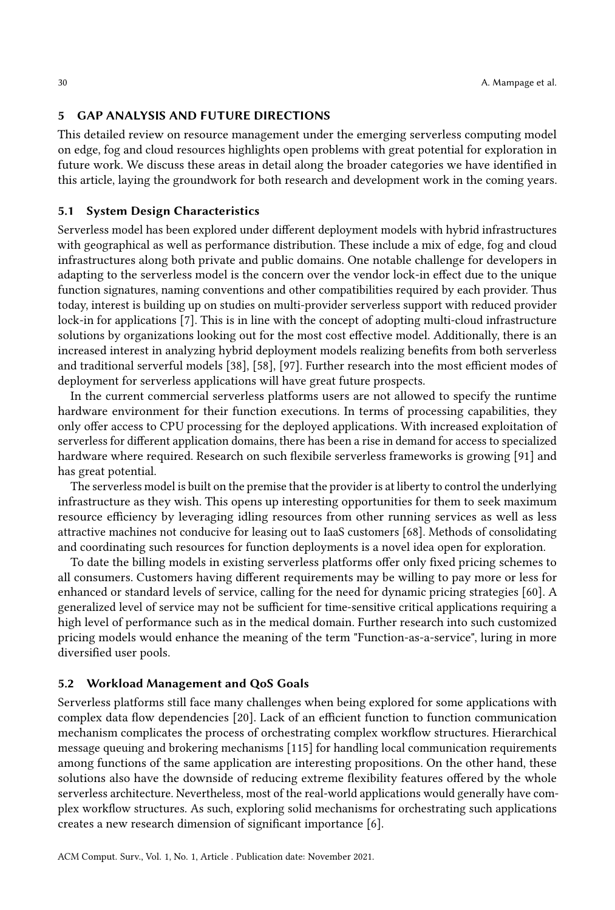#### 5 GAP ANALYSIS AND FUTURE DIRECTIONS

This detailed review on resource management under the emerging serverless computing model on edge, fog and cloud resources highlights open problems with great potential for exploration in future work. We discuss these areas in detail along the broader categories we have identified in this article, laying the groundwork for both research and development work in the coming years.

### 5.1 System Design Characteristics

Serverless model has been explored under different deployment models with hybrid infrastructures with geographical as well as performance distribution. These include a mix of edge, fog and cloud infrastructures along both private and public domains. One notable challenge for developers in adapting to the serverless model is the concern over the vendor lock-in effect due to the unique function signatures, naming conventions and other compatibilities required by each provider. Thus today, interest is building up on studies on multi-provider serverless support with reduced provider lock-in for applications [\[7\]](#page-31-16). This is in line with the concept of adopting multi-cloud infrastructure solutions by organizations looking out for the most cost effective model. Additionally, there is an increased interest in analyzing hybrid deployment models realizing benefits from both serverless and traditional serverful models [\[38\]](#page-32-10), [\[58\]](#page-33-8), [\[97\]](#page-35-8). Further research into the most efficient modes of deployment for serverless applications will have great future prospects.

In the current commercial serverless platforms users are not allowed to specify the runtime hardware environment for their function executions. In terms of processing capabilities, they only offer access to CPU processing for the deployed applications. With increased exploitation of serverless for different application domains, there has been a rise in demand for access to specialized hardware where required. Research on such flexibile serverless frameworks is growing [\[91\]](#page-35-18) and has great potential.

The serverless model is built on the premise that the provider is at liberty to control the underlying infrastructure as they wish. This opens up interesting opportunities for them to seek maximum resource efficiency by leveraging idling resources from other running services as well as less attractive machines not conducive for leasing out to IaaS customers [\[68\]](#page-34-0). Methods of consolidating and coordinating such resources for function deployments is a novel idea open for exploration.

To date the billing models in existing serverless platforms offer only fixed pricing schemes to all consumers. Customers having different requirements may be willing to pay more or less for enhanced or standard levels of service, calling for the need for dynamic pricing strategies [\[60\]](#page-33-18). A generalized level of service may not be sufficient for time-sensitive critical applications requiring a high level of performance such as in the medical domain. Further research into such customized pricing models would enhance the meaning of the term "Function-as-a-service", luring in more diversified user pools.

#### 5.2 Workload Management and QoS Goals

Serverless platforms still face many challenges when being explored for some applications with complex data flow dependencies [\[20\]](#page-32-27). Lack of an efficient function to function communication mechanism complicates the process of orchestrating complex workflow structures. Hierarchical message queuing and brokering mechanisms [\[115\]](#page-36-0) for handling local communication requirements among functions of the same application are interesting propositions. On the other hand, these solutions also have the downside of reducing extreme flexibility features offered by the whole serverless architecture. Nevertheless, most of the real-world applications would generally have complex workflow structures. As such, exploring solid mechanisms for orchestrating such applications creates a new research dimension of significant importance [\[6\]](#page-31-17).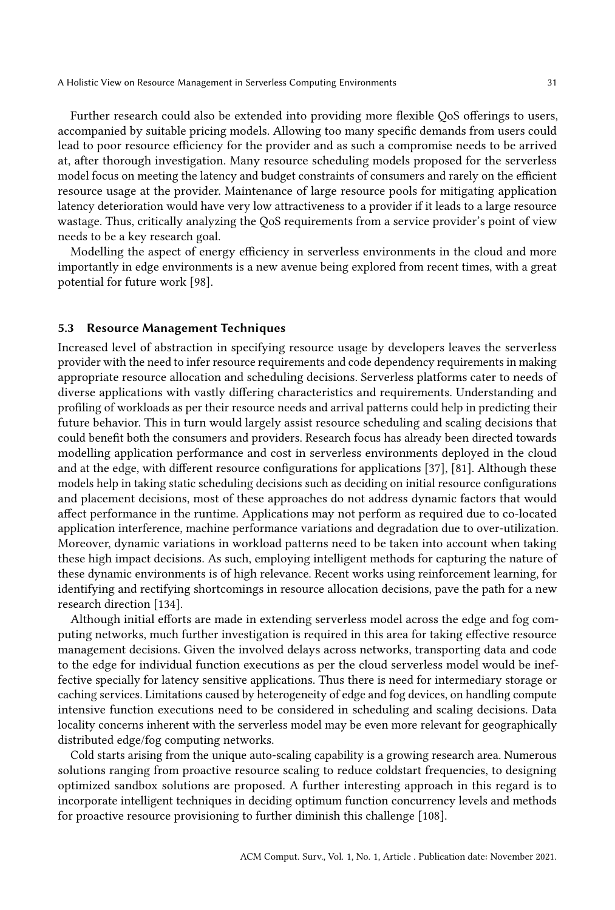Further research could also be extended into providing more flexible QoS offerings to users, accompanied by suitable pricing models. Allowing too many specific demands from users could lead to poor resource efficiency for the provider and as such a compromise needs to be arrived at, after thorough investigation. Many resource scheduling models proposed for the serverless model focus on meeting the latency and budget constraints of consumers and rarely on the efficient resource usage at the provider. Maintenance of large resource pools for mitigating application latency deterioration would have very low attractiveness to a provider if it leads to a large resource wastage. Thus, critically analyzing the QoS requirements from a service provider's point of view needs to be a key research goal.

Modelling the aspect of energy efficiency in serverless environments in the cloud and more importantly in edge environments is a new avenue being explored from recent times, with a great potential for future work [\[98\]](#page-35-21).

## 5.3 Resource Management Techniques

Increased level of abstraction in specifying resource usage by developers leaves the serverless provider with the need to infer resource requirements and code dependency requirements in making appropriate resource allocation and scheduling decisions. Serverless platforms cater to needs of diverse applications with vastly differing characteristics and requirements. Understanding and profiling of workloads as per their resource needs and arrival patterns could help in predicting their future behavior. This in turn would largely assist resource scheduling and scaling decisions that could benefit both the consumers and providers. Research focus has already been directed towards modelling application performance and cost in serverless environments deployed in the cloud and at the edge, with different resource configurations for applications [\[37\]](#page-32-6), [\[81\]](#page-34-8). Although these models help in taking static scheduling decisions such as deciding on initial resource configurations and placement decisions, most of these approaches do not address dynamic factors that would affect performance in the runtime. Applications may not perform as required due to co-located application interference, machine performance variations and degradation due to over-utilization. Moreover, dynamic variations in workload patterns need to be taken into account when taking these high impact decisions. As such, employing intelligent methods for capturing the nature of these dynamic environments is of high relevance. Recent works using reinforcement learning, for identifying and rectifying shortcomings in resource allocation decisions, pave the path for a new research direction [\[134\]](#page-37-7).

Although initial efforts are made in extending serverless model across the edge and fog computing networks, much further investigation is required in this area for taking effective resource management decisions. Given the involved delays across networks, transporting data and code to the edge for individual function executions as per the cloud serverless model would be ineffective specially for latency sensitive applications. Thus there is need for intermediary storage or caching services. Limitations caused by heterogeneity of edge and fog devices, on handling compute intensive function executions need to be considered in scheduling and scaling decisions. Data locality concerns inherent with the serverless model may be even more relevant for geographically distributed edge/fog computing networks.

Cold starts arising from the unique auto-scaling capability is a growing research area. Numerous solutions ranging from proactive resource scaling to reduce coldstart frequencies, to designing optimized sandbox solutions are proposed. A further interesting approach in this regard is to incorporate intelligent techniques in deciding optimum function concurrency levels and methods for proactive resource provisioning to further diminish this challenge [\[108\]](#page-35-11).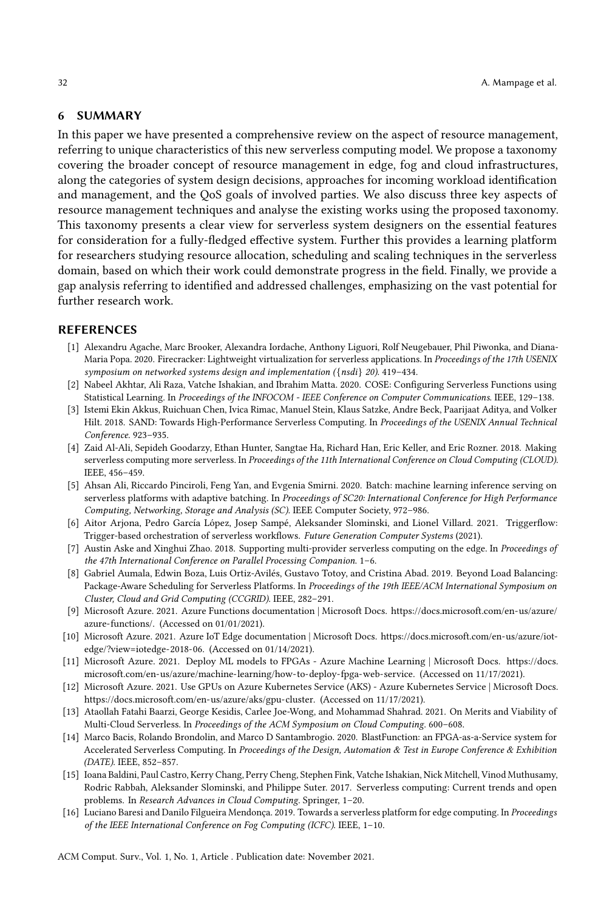#### <span id="page-31-15"></span><span id="page-31-14"></span>6 SUMMARY

In this paper we have presented a comprehensive review on the aspect of resource management, referring to unique characteristics of this new serverless computing model. We propose a taxonomy covering the broader concept of resource management in edge, fog and cloud infrastructures, along the categories of system design decisions, approaches for incoming workload identification and management, and the QoS goals of involved parties. We also discuss three key aspects of resource management techniques and analyse the existing works using the proposed taxonomy. This taxonomy presents a clear view for serverless system designers on the essential features for consideration for a fully-fledged effective system. Further this provides a learning platform for researchers studying resource allocation, scheduling and scaling techniques in the serverless domain, based on which their work could demonstrate progress in the field. Finally, we provide a gap analysis referring to identified and addressed challenges, emphasizing on the vast potential for further research work.

#### REFERENCES

- <span id="page-31-1"></span>[1] Alexandru Agache, Marc Brooker, Alexandra Iordache, Anthony Liguori, Rolf Neugebauer, Phil Piwonka, and Diana-Maria Popa. 2020. Firecracker: Lightweight virtualization for serverless applications. In Proceedings of the 17th USENIX symposium on networked systems design and implementation ({nsdi} 20). 419–434.
- <span id="page-31-6"></span>[2] Nabeel Akhtar, Ali Raza, Vatche Ishakian, and Ibrahim Matta. 2020. COSE: Configuring Serverless Functions using Statistical Learning. In Proceedings of the INFOCOM - IEEE Conference on Computer Communications. IEEE, 129–138.
- <span id="page-31-8"></span>[3] Istemi Ekin Akkus, Ruichuan Chen, Ivica Rimac, Manuel Stein, Klaus Satzke, Andre Beck, Paarijaat Aditya, and Volker Hilt. 2018. SAND: Towards High-Performance Serverless Computing. In Proceedings of the USENIX Annual Technical Conference. 923–935.
- <span id="page-31-13"></span>[4] Zaid Al-Ali, Sepideh Goodarzy, Ethan Hunter, Sangtae Ha, Richard Han, Eric Keller, and Eric Rozner. 2018. Making serverless computing more serverless. In Proceedings of the 11th International Conference on Cloud Computing (CLOUD). IEEE, 456–459.
- <span id="page-31-5"></span>[5] Ahsan Ali, Riccardo Pinciroli, Feng Yan, and Evgenia Smirni. 2020. Batch: machine learning inference serving on serverless platforms with adaptive batching. In Proceedings of SC20: International Conference for High Performance Computing, Networking, Storage and Analysis (SC). IEEE Computer Society, 972–986.
- <span id="page-31-17"></span>[6] Aitor Arjona, Pedro García López, Josep Sampé, Aleksander Slominski, and Lionel Villard. 2021. Triggerflow: Trigger-based orchestration of serverless workflows. Future Generation Computer Systems (2021).
- <span id="page-31-16"></span>[7] Austin Aske and Xinghui Zhao. 2018. Supporting multi-provider serverless computing on the edge. In Proceedings of the 47th International Conference on Parallel Processing Companion. 1–6.
- <span id="page-31-12"></span>[8] Gabriel Aumala, Edwin Boza, Luis Ortiz-Avilés, Gustavo Totoy, and Cristina Abad. 2019. Beyond Load Balancing: Package-Aware Scheduling for Serverless Platforms. In Proceedings of the 19th IEEE/ACM International Symposium on Cluster, Cloud and Grid Computing (CCGRID). IEEE, 282–291.
- <span id="page-31-2"></span>[9] Microsoft Azure. 2021. Azure Functions documentation | Microsoft Docs. [https://docs.microsoft.com/en-us/azure/](https://docs.microsoft.com/en-us/azure/azure-functions/) [azure-functions/.](https://docs.microsoft.com/en-us/azure/azure-functions/) (Accessed on 01/01/2021).
- <span id="page-31-3"></span>[10] Microsoft Azure. 2021. Azure IoT Edge documentation | Microsoft Docs. [https://docs.microsoft.com/en-us/azure/iot](https://docs.microsoft.com/en-us/azure/iot-edge/?view=iotedge-2018-06)[edge/?view=iotedge-2018-06.](https://docs.microsoft.com/en-us/azure/iot-edge/?view=iotedge-2018-06) (Accessed on 01/14/2021).
- <span id="page-31-10"></span>[11] Microsoft Azure. 2021. Deploy ML models to FPGAs - Azure Machine Learning | Microsoft Docs. [https://docs.](https://docs.microsoft.com/en-us/azure/machine-learning/how-to-deploy-fpga-web-service) [microsoft.com/en-us/azure/machine-learning/how-to-deploy-fpga-web-service.](https://docs.microsoft.com/en-us/azure/machine-learning/how-to-deploy-fpga-web-service) (Accessed on 11/17/2021).
- <span id="page-31-9"></span>[12] Microsoft Azure. 2021. Use GPUs on Azure Kubernetes Service (AKS) - Azure Kubernetes Service | Microsoft Docs. [https://docs.microsoft.com/en-us/azure/aks/gpu-cluster.](https://docs.microsoft.com/en-us/azure/aks/gpu-cluster) (Accessed on 11/17/2021).
- <span id="page-31-7"></span>[13] Ataollah Fatahi Baarzi, George Kesidis, Carlee Joe-Wong, and Mohammad Shahrad. 2021. On Merits and Viability of Multi-Cloud Serverless. In Proceedings of the ACM Symposium on Cloud Computing. 600-608.
- <span id="page-31-11"></span>[14] Marco Bacis, Rolando Brondolin, and Marco D Santambrogio. 2020. BlastFunction: an FPGA-as-a-Service system for Accelerated Serverless Computing. In Proceedings of the Design, Automation & Test in Europe Conference & Exhibition (DATE). IEEE, 852–857.
- <span id="page-31-0"></span>[15] Ioana Baldini, Paul Castro, Kerry Chang, Perry Cheng, Stephen Fink, Vatche Ishakian, Nick Mitchell, Vinod Muthusamy, Rodric Rabbah, Aleksander Slominski, and Philippe Suter. 2017. Serverless computing: Current trends and open problems. In Research Advances in Cloud Computing. Springer, 1–20.
- <span id="page-31-4"></span>[16] Luciano Baresi and Danilo Filgueira Mendonça. 2019. Towards a serverless platform for edge computing. In Proceedings of the IEEE International Conference on Fog Computing (ICFC). IEEE, 1–10.

ACM Comput. Surv., Vol. 1, No. 1, Article . Publication date: November 2021.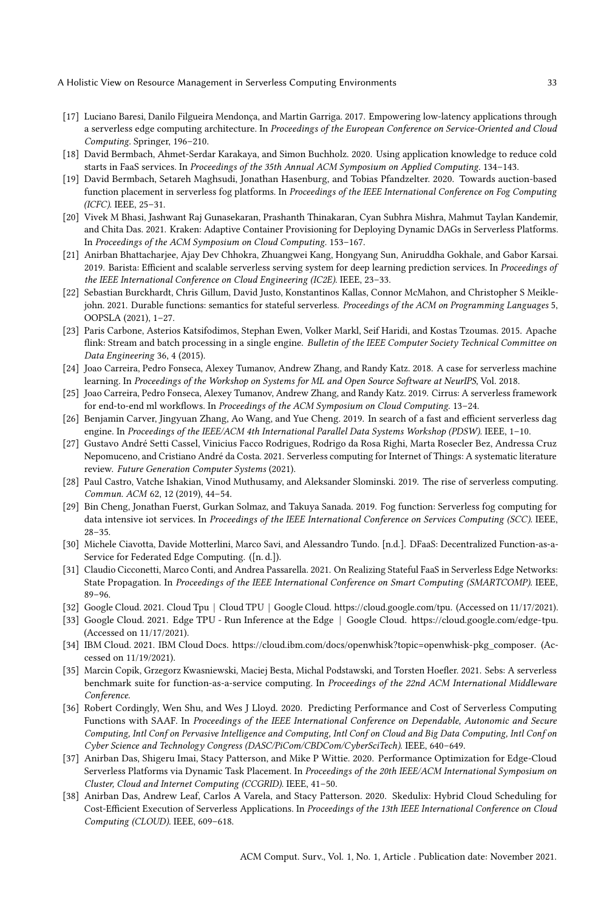- <span id="page-32-26"></span><span id="page-32-25"></span><span id="page-32-24"></span><span id="page-32-23"></span><span id="page-32-22"></span><span id="page-32-21"></span><span id="page-32-16"></span>[17] Luciano Baresi, Danilo Filgueira Mendonça, and Martin Garriga. 2017. Empowering low-latency applications through a serverless edge computing architecture. In Proceedings of the European Conference on Service-Oriented and Cloud Computing. Springer, 196–210.
- <span id="page-32-14"></span>[18] David Bermbach, Ahmet-Serdar Karakaya, and Simon Buchholz. 2020. Using application knowledge to reduce cold starts in FaaS services. In Proceedings of the 35th Annual ACM Symposium on Applied Computing. 134–143.
- <span id="page-32-5"></span>[19] David Bermbach, Setareh Maghsudi, Jonathan Hasenburg, and Tobias Pfandzelter. 2020. Towards auction-based function placement in serverless fog platforms. In Proceedings of the IEEE International Conference on Fog Computing (ICFC). IEEE, 25–31.
- <span id="page-32-27"></span>[20] Vivek M Bhasi, Jashwant Raj Gunasekaran, Prashanth Thinakaran, Cyan Subhra Mishra, Mahmut Taylan Kandemir, and Chita Das. 2021. Kraken: Adaptive Container Provisioning for Deploying Dynamic DAGs in Serverless Platforms. In Proceedings of the ACM Symposium on Cloud Computing. 153–167.
- <span id="page-32-13"></span>[21] Anirban Bhattacharjee, Ajay Dev Chhokra, Zhuangwei Kang, Hongyang Sun, Aniruddha Gokhale, and Gabor Karsai. 2019. Barista: Efficient and scalable serverless serving system for deep learning prediction services. In Proceedings of the IEEE International Conference on Cloud Engineering (IC2E). IEEE, 23–33.
- <span id="page-32-2"></span>[22] Sebastian Burckhardt, Chris Gillum, David Justo, Konstantinos Kallas, Connor McMahon, and Christopher S Meiklejohn. 2021. Durable functions: semantics for stateful serverless. Proceedings of the ACM on Programming Languages 5, OOPSLA (2021), 1–27.
- <span id="page-32-4"></span>[23] Paris Carbone, Asterios Katsifodimos, Stephan Ewen, Volker Markl, Seif Haridi, and Kostas Tzoumas. 2015. Apache flink: Stream and batch processing in a single engine. Bulletin of the IEEE Computer Society Technical Committee on Data Engineering 36, 4 (2015).
- <span id="page-32-8"></span>[24] Joao Carreira, Pedro Fonseca, Alexey Tumanov, Andrew Zhang, and Randy Katz. 2018. A case for serverless machine learning. In Proceedings of the Workshop on Systems for ML and Open Source Software at NeurIPS, Vol. 2018.
- <span id="page-32-9"></span>[25] Joao Carreira, Pedro Fonseca, Alexey Tumanov, Andrew Zhang, and Randy Katz. 2019. Cirrus: A serverless framework for end-to-end ml workflows. In Proceedings of the ACM Symposium on Cloud Computing. 13–24.
- <span id="page-32-19"></span>[26] Benjamin Carver, Jingyuan Zhang, Ao Wang, and Yue Cheng. 2019. In search of a fast and efficient serverless dag engine. In Proceedings of the IEEE/ACM 4th International Parallel Data Systems Workshop (PDSW). IEEE, 1-10.
- <span id="page-32-0"></span>[27] Gustavo André Setti Cassel, Vinicius Facco Rodrigues, Rodrigo da Rosa Righi, Marta Rosecler Bez, Andressa Cruz Nepomuceno, and Cristiano André da Costa. 2021. Serverless computing for Internet of Things: A systematic literature review. Future Generation Computer Systems (2021).
- <span id="page-32-1"></span>[28] Paul Castro, Vatche Ishakian, Vinod Muthusamy, and Aleksander Slominski. 2019. The rise of serverless computing. Commun. ACM 62, 12 (2019), 44–54.
- <span id="page-32-7"></span>[29] Bin Cheng, Jonathan Fuerst, Gurkan Solmaz, and Takuya Sanada. 2019. Fog function: Serverless fog computing for data intensive iot services. In Proceedings of the IEEE International Conference on Services Computing (SCC). IEEE, 28–35.
- <span id="page-32-15"></span>[30] Michele Ciavotta, Davide Motterlini, Marco Savi, and Alessandro Tundo. [n.d.]. DFaaS: Decentralized Function-as-a-Service for Federated Edge Computing. ([n. d.]).
- <span id="page-32-20"></span>[31] Claudio Cicconetti, Marco Conti, and Andrea Passarella. 2021. On Realizing Stateful FaaS in Serverless Edge Networks: State Propagation. In Proceedings of the IEEE International Conference on Smart Computing (SMARTCOMP). IEEE, 89–96.
- <span id="page-32-17"></span>[32] Google Cloud. 2021. Cloud Tpu | Cloud TPU | Google Cloud. [https://cloud.google.com/tpu.](https://cloud.google.com/tpu) (Accessed on 11/17/2021).
- <span id="page-32-18"></span>[33] Google Cloud. 2021. Edge TPU - Run Inference at the Edge | Google Cloud. [https://cloud.google.com/edge-tpu.](https://cloud.google.com/edge-tpu) (Accessed on 11/17/2021).
- <span id="page-32-3"></span>[34] IBM Cloud. 2021. IBM Cloud Docs. [https://cloud.ibm.com/docs/openwhisk?topic=openwhisk-pkg\\_composer.](https://cloud.ibm.com/docs/openwhisk?topic=openwhisk-pkg_composer) (Accessed on 11/19/2021).
- <span id="page-32-12"></span>[35] Marcin Copik, Grzegorz Kwasniewski, Maciej Besta, Michal Podstawski, and Torsten Hoefler. 2021. Sebs: A serverless benchmark suite for function-as-a-service computing. In Proceedings of the 22nd ACM International Middleware Conference.
- <span id="page-32-11"></span>[36] Robert Cordingly, Wen Shu, and Wes J Lloyd. 2020. Predicting Performance and Cost of Serverless Computing Functions with SAAF. In Proceedings of the IEEE International Conference on Dependable, Autonomic and Secure Computing, Intl Conf on Pervasive Intelligence and Computing, Intl Conf on Cloud and Big Data Computing, Intl Conf on Cyber Science and Technology Congress (DASC/PiCom/CBDCom/CyberSciTech). IEEE, 640–649.
- <span id="page-32-6"></span>[37] Anirban Das, Shigeru Imai, Stacy Patterson, and Mike P Wittie. 2020. Performance Optimization for Edge-Cloud Serverless Platforms via Dynamic Task Placement. In Proceedings of the 20th IEEE/ACM International Symposium on Cluster, Cloud and Internet Computing (CCGRID). IEEE, 41–50.
- <span id="page-32-10"></span>[38] Anirban Das, Andrew Leaf, Carlos A Varela, and Stacy Patterson. 2020. Skedulix: Hybrid Cloud Scheduling for Cost-Efficient Execution of Serverless Applications. In Proceedings of the 13th IEEE International Conference on Cloud Computing (CLOUD). IEEE, 609–618.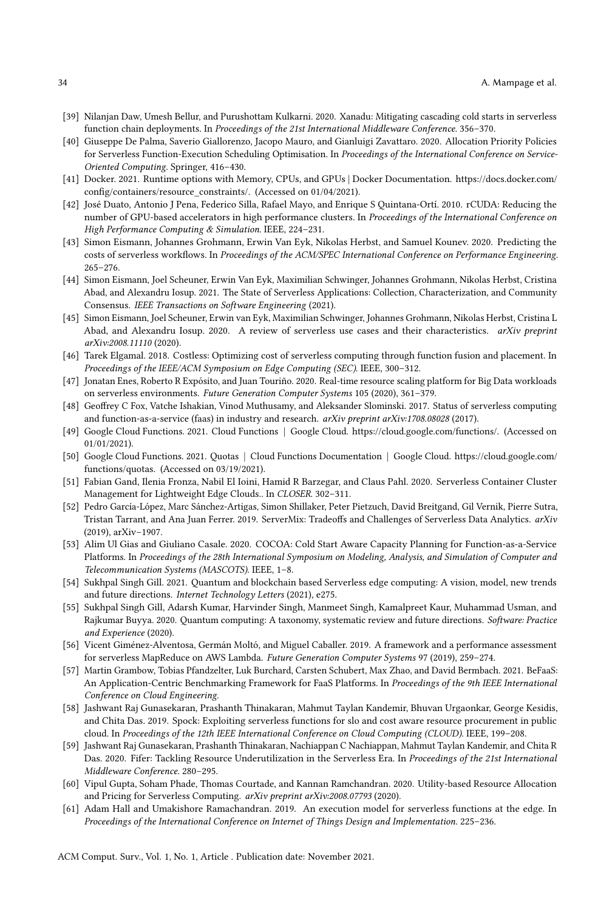- <span id="page-33-27"></span><span id="page-33-26"></span><span id="page-33-25"></span><span id="page-33-24"></span><span id="page-33-23"></span><span id="page-33-13"></span>[39] Nilanjan Daw, Umesh Bellur, and Purushottam Kulkarni. 2020. Xanadu: Mitigating cascading cold starts in serverless function chain deployments. In Proceedings of the 21st International Middleware Conference. 356–370.
- <span id="page-33-12"></span>[40] Giuseppe De Palma, Saverio Giallorenzo, Jacopo Mauro, and Gianluigi Zavattaro. 2020. Allocation Priority Policies for Serverless Function-Execution Scheduling Optimisation. In Proceedings of the International Conference on Service-Oriented Computing. Springer, 416–430.
- <span id="page-33-15"></span>[41] Docker. 2021. Runtime options with Memory, CPUs, and GPUs | Docker Documentation. [https://docs.docker.com/](https://docs.docker.com/config/containers/resource_constraints/) [config/containers/resource\\_constraints/.](https://docs.docker.com/config/containers/resource_constraints/) (Accessed on 01/04/2021).
- <span id="page-33-20"></span>[42] José Duato, Antonio J Pena, Federico Silla, Rafael Mayo, and Enrique S Quintana-Ortí. 2010. rCUDA: Reducing the number of GPU-based accelerators in high performance clusters. In Proceedings of the International Conference on High Performance Computing & Simulation. IEEE, 224–231.
- <span id="page-33-10"></span>[43] Simon Eismann, Johannes Grohmann, Erwin Van Eyk, Nikolas Herbst, and Samuel Kounev. 2020. Predicting the costs of serverless workflows. In Proceedings of the ACM/SPEC International Conference on Performance Engineering. 265–276.
- <span id="page-33-3"></span>[44] Simon Eismann, Joel Scheuner, Erwin Van Eyk, Maximilian Schwinger, Johannes Grohmann, Nikolas Herbst, Cristina Abad, and Alexandru Iosup. 2021. The State of Serverless Applications: Collection, Characterization, and Community Consensus. IEEE Transactions on Software Engineering (2021).
- <span id="page-33-2"></span>[45] Simon Eismann, Joel Scheuner, Erwin van Eyk, Maximilian Schwinger, Johannes Grohmann, Nikolas Herbst, Cristina L Abad, and Alexandru Iosup. 2020. A review of serverless use cases and their characteristics. arXiv preprint arXiv:2008.11110 (2020).
- <span id="page-33-7"></span>[46] Tarek Elgamal. 2018. Costless: Optimizing cost of serverless computing through function fusion and placement. In Proceedings of the IEEE/ACM Symposium on Edge Computing (SEC). IEEE, 300–312.
- <span id="page-33-6"></span>[47] Jonatan Enes, Roberto R Expósito, and Juan Touriño. 2020. Real-time resource scaling platform for Big Data workloads on serverless environments. Future Generation Computer Systems 105 (2020), 361–379.
- <span id="page-33-0"></span>[48] Geoffrey C Fox, Vatche Ishakian, Vinod Muthusamy, and Aleksander Slominski. 2017. Status of serverless computing and function-as-a-service (faas) in industry and research. arXiv preprint arXiv:1708.08028 (2017).
- <span id="page-33-4"></span>[49] Google Cloud Functions. 2021. Cloud Functions | Google Cloud. [https://cloud.google.com/functions/.](https://cloud.google.com/functions/) (Accessed on 01/01/2021).
- <span id="page-33-19"></span>[50] Google Cloud Functions. 2021. Quotas | Cloud Functions Documentation | Google Cloud. [https://cloud.google.com/](https://cloud.google.com/functions/quotas) [functions/quotas.](https://cloud.google.com/functions/quotas) (Accessed on 03/19/2021).
- <span id="page-33-16"></span>[51] Fabian Gand, Ilenia Fronza, Nabil El Ioini, Hamid R Barzegar, and Claus Pahl. 2020. Serverless Container Cluster Management for Lightweight Edge Clouds.. In CLOSER. 302–311.
- <span id="page-33-1"></span>[52] Pedro García-López, Marc Sánchez-Artigas, Simon Shillaker, Peter Pietzuch, David Breitgand, Gil Vernik, Pierre Sutra, Tristan Tarrant, and Ana Juan Ferrer. 2019. ServerMix: Tradeoffs and Challenges of Serverless Data Analytics. arXiv (2019), arXiv–1907.
- <span id="page-33-14"></span>[53] Alim Ul Gias and Giuliano Casale. 2020. COCOA: Cold Start Aware Capacity Planning for Function-as-a-Service Platforms. In Proceedings of the 28th International Symposium on Modeling, Analysis, and Simulation of Computer and Telecommunication Systems (MASCOTS). IEEE, 1–8.
- <span id="page-33-21"></span>[54] Sukhpal Singh Gill. 2021. Quantum and blockchain based Serverless edge computing: A vision, model, new trends and future directions. Internet Technology Letters (2021), e275.
- <span id="page-33-22"></span>[55] Sukhpal Singh Gill, Adarsh Kumar, Harvinder Singh, Manmeet Singh, Kamalpreet Kaur, Muhammad Usman, and Rajkumar Buyya. 2020. Quantum computing: A taxonomy, systematic review and future directions. Software: Practice and Experience (2020).
- <span id="page-33-5"></span>[56] Vicent Giménez-Alventosa, Germán Moltó, and Miguel Caballer. 2019. A framework and a performance assessment for serverless MapReduce on AWS Lambda. Future Generation Computer Systems 97 (2019), 259–274.
- <span id="page-33-9"></span>[57] Martin Grambow, Tobias Pfandzelter, Luk Burchard, Carsten Schubert, Max Zhao, and David Bermbach. 2021. BeFaaS: An Application-Centric Benchmarking Framework for FaaS Platforms. In Proceedings of the 9th IEEE International Conference on Cloud Engineering.
- <span id="page-33-8"></span>[58] Jashwant Raj Gunasekaran, Prashanth Thinakaran, Mahmut Taylan Kandemir, Bhuvan Urgaonkar, George Kesidis, and Chita Das. 2019. Spock: Exploiting serverless functions for slo and cost aware resource procurement in public cloud. In Proceedings of the 12th IEEE International Conference on Cloud Computing (CLOUD). IEEE, 199–208.
- <span id="page-33-11"></span>[59] Jashwant Raj Gunasekaran, Prashanth Thinakaran, Nachiappan C Nachiappan, Mahmut Taylan Kandemir, and Chita R Das. 2020. Fifer: Tackling Resource Underutilization in the Serverless Era. In Proceedings of the 21st International Middleware Conference. 280–295.
- <span id="page-33-18"></span>[60] Vipul Gupta, Soham Phade, Thomas Courtade, and Kannan Ramchandran. 2020. Utility-based Resource Allocation and Pricing for Serverless Computing. arXiv preprint arXiv:2008.07793 (2020).
- <span id="page-33-17"></span>[61] Adam Hall and Umakishore Ramachandran. 2019. An execution model for serverless functions at the edge. In Proceedings of the International Conference on Internet of Things Design and Implementation. 225–236.

ACM Comput. Surv., Vol. 1, No. 1, Article . Publication date: November 2021.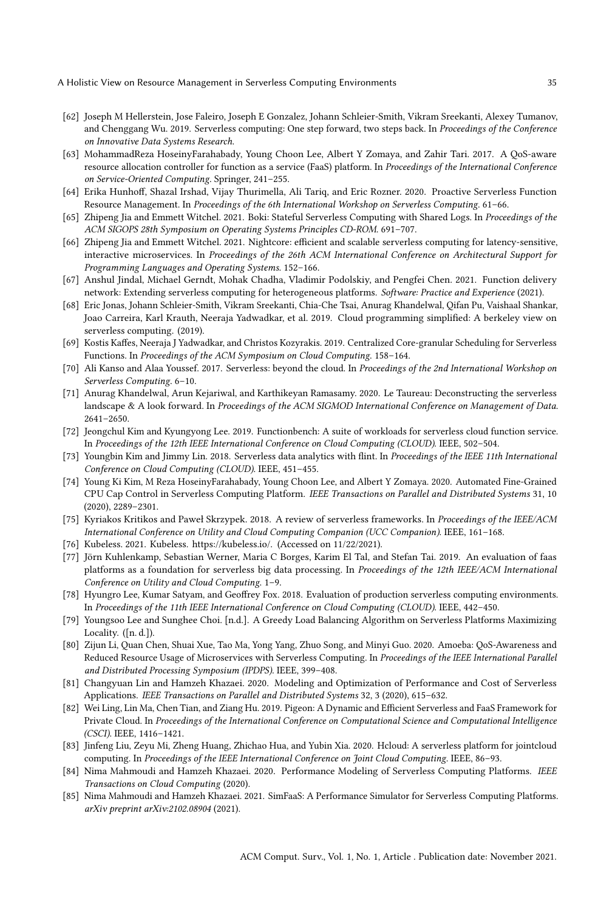- <span id="page-34-31"></span><span id="page-34-30"></span><span id="page-34-29"></span><span id="page-34-28"></span><span id="page-34-27"></span><span id="page-34-26"></span><span id="page-34-25"></span><span id="page-34-24"></span><span id="page-34-1"></span>[62] Joseph M Hellerstein, Jose Faleiro, Joseph E Gonzalez, Johann Schleier-Smith, Vikram Sreekanti, Alexey Tumanov, and Chenggang Wu. 2019. Serverless computing: One step forward, two steps back. In Proceedings of the Conference on Innovative Data Systems Research.
- <span id="page-34-18"></span>[63] MohammadReza HoseinyFarahabady, Young Choon Lee, Albert Y Zomaya, and Zahir Tari. 2017. A QoS-aware resource allocation controller for function as a service (FaaS) platform. In Proceedings of the International Conference on Service-Oriented Computing. Springer, 241–255.
- <span id="page-34-12"></span>[64] Erika Hunhoff, Shazal Irshad, Vijay Thurimella, Ali Tariq, and Eric Rozner. 2020. Proactive Serverless Function Resource Management. In Proceedings of the 6th International Workshop on Serverless Computing. 61–66.
- <span id="page-34-20"></span>[65] Zhipeng Jia and Emmett Witchel. 2021. Boki: Stateful Serverless Computing with Shared Logs. In Proceedings of the ACM SIGOPS 28th Symposium on Operating Systems Principles CD-ROM. 691–707.
- <span id="page-34-22"></span>[66] Zhipeng Jia and Emmett Witchel. 2021. Nightcore: efficient and scalable serverless computing for latency-sensitive, interactive microservices. In Proceedings of the 26th ACM International Conference on Architectural Support for Programming Languages and Operating Systems. 152–166.
- <span id="page-34-14"></span>[67] Anshul Jindal, Michael Gerndt, Mohak Chadha, Vladimir Podolskiy, and Pengfei Chen. 2021. Function delivery network: Extending serverless computing for heterogeneous platforms. Software: Practice and Experience (2021).
- <span id="page-34-0"></span>[68] Eric Jonas, Johann Schleier-Smith, Vikram Sreekanti, Chia-Che Tsai, Anurag Khandelwal, Qifan Pu, Vaishaal Shankar, Joao Carreira, Karl Krauth, Neeraja Yadwadkar, et al. 2019. Cloud programming simplified: A berkeley view on serverless computing. (2019).
- <span id="page-34-19"></span>[69] Kostis Kaffes, Neeraja J Yadwadkar, and Christos Kozyrakis. 2019. Centralized Core-granular Scheduling for Serverless Functions. In Proceedings of the ACM Symposium on Cloud Computing. 158–164.
- <span id="page-34-23"></span>[70] Ali Kanso and Alaa Youssef. 2017. Serverless: beyond the cloud. In Proceedings of the 2nd International Workshop on Serverless Computing. 6–10.
- <span id="page-34-16"></span>[71] Anurag Khandelwal, Arun Kejariwal, and Karthikeyan Ramasamy. 2020. Le Taureau: Deconstructing the serverless landscape & A look forward. In Proceedings of the ACM SIGMOD International Conference on Management of Data. 2641–2650.
- <span id="page-34-7"></span>[72] Jeongchul Kim and Kyungyong Lee. 2019. Functionbench: A suite of workloads for serverless cloud function service. In Proceedings of the 12th IEEE International Conference on Cloud Computing (CLOUD). IEEE, 502–504.
- <span id="page-34-6"></span>[73] Youngbin Kim and Jimmy Lin. 2018. Serverless data analytics with flint. In Proceedings of the IEEE 11th International Conference on Cloud Computing (CLOUD). IEEE, 451–455.
- <span id="page-34-17"></span>[74] Young Ki Kim, M Reza HoseinyFarahabady, Young Choon Lee, and Albert Y Zomaya. 2020. Automated Fine-Grained CPU Cap Control in Serverless Computing Platform. IEEE Transactions on Parallel and Distributed Systems 31, 10 (2020), 2289–2301.
- <span id="page-34-3"></span>[75] Kyriakos Kritikos and Paweł Skrzypek. 2018. A review of serverless frameworks. In Proceedings of the IEEE/ACM International Conference on Utility and Cloud Computing Companion (UCC Companion). IEEE, 161–168.
- <span id="page-34-4"></span>[76] Kubeless. 2021. Kubeless. [https://kubeless.io/.](https://kubeless.io/) (Accessed on 11/22/2021).
- <span id="page-34-5"></span>[77] Jörn Kuhlenkamp, Sebastian Werner, Maria C Borges, Karim El Tal, and Stefan Tai. 2019. An evaluation of faas platforms as a foundation for serverless big data processing. In Proceedings of the 12th IEEE/ACM International Conference on Utility and Cloud Computing. 1–9.
- <span id="page-34-2"></span>[78] Hyungro Lee, Kumar Satyam, and Geoffrey Fox. 2018. Evaluation of production serverless computing environments. In Proceedings of the 11th IEEE International Conference on Cloud Computing (CLOUD). IEEE, 442–450.
- <span id="page-34-21"></span>[79] Youngsoo Lee and Sunghee Choi. [n.d.]. A Greedy Load Balancing Algorithm on Serverless Platforms Maximizing Locality.  $([n.d.])$ .
- <span id="page-34-15"></span>[80] Zijun Li, Quan Chen, Shuai Xue, Tao Ma, Yong Yang, Zhuo Song, and Minyi Guo. 2020. Amoeba: QoS-Awareness and Reduced Resource Usage of Microservices with Serverless Computing. In Proceedings of the IEEE International Parallel and Distributed Processing Symposium (IPDPS). IEEE, 399–408.
- <span id="page-34-8"></span>[81] Changyuan Lin and Hamzeh Khazaei. 2020. Modeling and Optimization of Performance and Cost of Serverless Applications. IEEE Transactions on Parallel and Distributed Systems 32, 3 (2020), 615–632.
- <span id="page-34-11"></span>[82] Wei Ling, Lin Ma, Chen Tian, and Ziang Hu. 2019. Pigeon: A Dynamic and Efficient Serverless and FaaS Framework for Private Cloud. In Proceedings of the International Conference on Computational Science and Computational Intelligence (CSCI). IEEE, 1416–1421.
- <span id="page-34-13"></span>[83] Jinfeng Liu, Zeyu Mi, Zheng Huang, Zhichao Hua, and Yubin Xia. 2020. Hcloud: A serverless platform for jointcloud computing. In Proceedings of the IEEE International Conference on Joint Cloud Computing. IEEE, 86–93.
- <span id="page-34-9"></span>[84] Nima Mahmoudi and Hamzeh Khazaei. 2020. Performance Modeling of Serverless Computing Platforms. IEEE Transactions on Cloud Computing (2020).
- <span id="page-34-10"></span>[85] Nima Mahmoudi and Hamzeh Khazaei. 2021. SimFaaS: A Performance Simulator for Serverless Computing Platforms. arXiv preprint arXiv:2102.08904 (2021).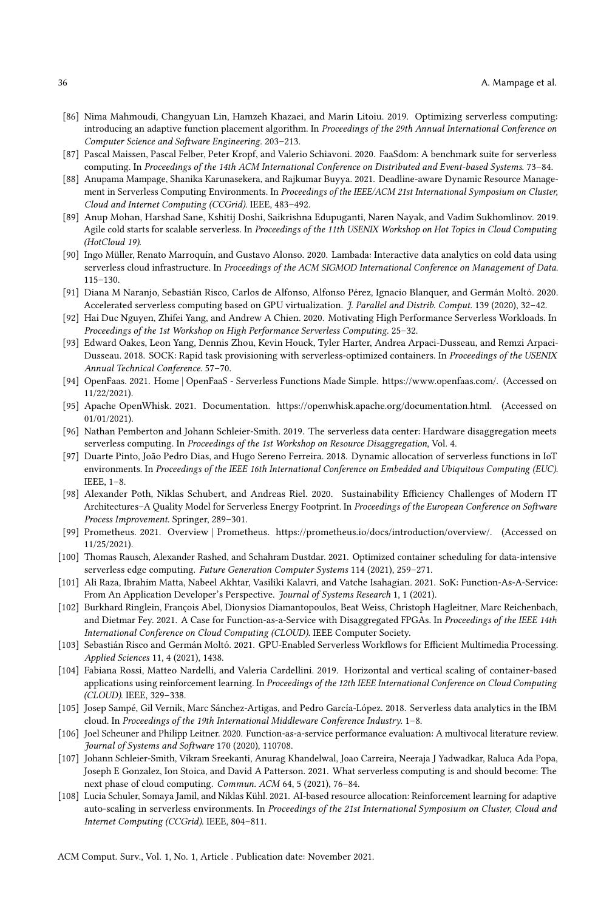- <span id="page-35-27"></span><span id="page-35-26"></span><span id="page-35-25"></span><span id="page-35-24"></span><span id="page-35-23"></span><span id="page-35-22"></span><span id="page-35-12"></span>[86] Nima Mahmoudi, Changyuan Lin, Hamzeh Khazaei, and Marin Litoiu. 2019. Optimizing serverless computing: introducing an adaptive function placement algorithm. In Proceedings of the 29th Annual International Conference on Computer Science and Software Engineering. 203–213.
- <span id="page-35-9"></span>[87] Pascal Maissen, Pascal Felber, Peter Kropf, and Valerio Schiavoni. 2020. FaaSdom: A benchmark suite for serverless computing. In Proceedings of the 14th ACM International Conference on Distributed and Event-based Systems. 73–84.
- <span id="page-35-10"></span>[88] Anupama Mampage, Shanika Karunasekera, and Rajkumar Buyya. 2021. Deadline-aware Dynamic Resource Management in Serverless Computing Environments. In Proceedings of the IEEE/ACM 21st International Symposium on Cluster, Cloud and Internet Computing (CCGrid). IEEE, 483–492.
- <span id="page-35-14"></span>[89] Anup Mohan, Harshad Sane, Kshitij Doshi, Saikrishna Edupuganti, Naren Nayak, and Vadim Sukhomlinov. 2019. Agile cold starts for scalable serverless. In Proceedings of the 11th USENIX Workshop on Hot Topics in Cloud Computing (HotCloud 19).
- <span id="page-35-7"></span>[90] Ingo Müller, Renato Marroquín, and Gustavo Alonso. 2020. Lambada: Interactive data analytics on cold data using serverless cloud infrastructure. In Proceedings of the ACM SIGMOD International Conference on Management of Data. 115–130.
- <span id="page-35-18"></span>[91] Diana M Naranjo, Sebastián Risco, Carlos de Alfonso, Alfonso Pérez, Ignacio Blanquer, and Germán Moltó. 2020. Accelerated serverless computing based on GPU virtualization. J. Parallel and Distrib. Comput. 139 (2020), 32–42.
- <span id="page-35-16"></span>[92] Hai Duc Nguyen, Zhifei Yang, and Andrew A Chien. 2020. Motivating High Performance Serverless Workloads. In Proceedings of the 1st Workshop on High Performance Serverless Computing. 25–32.
- <span id="page-35-15"></span>[93] Edward Oakes, Leon Yang, Dennis Zhou, Kevin Houck, Tyler Harter, Andrea Arpaci-Dusseau, and Remzi Arpaci-Dusseau. 2018. SOCK: Rapid task provisioning with serverless-optimized containers. In Proceedings of the USENIX Annual Technical Conference. 57–70.
- <span id="page-35-4"></span>[94] OpenFaas. 2021. Home | OpenFaaS - Serverless Functions Made Simple. [https://www.openfaas.com/.](https://www.openfaas.com/) (Accessed on 11/22/2021).
- <span id="page-35-3"></span>[95] Apache OpenWhisk. 2021. Documentation. [https://openwhisk.apache.org/documentation.html.](https://openwhisk.apache.org/documentation.html) (Accessed on 01/01/2021).
- <span id="page-35-17"></span>[96] Nathan Pemberton and Johann Schleier-Smith. 2019. The serverless data center: Hardware disaggregation meets serverless computing. In Proceedings of the 1st Workshop on Resource Disaggregation, Vol. 4.
- <span id="page-35-8"></span>[97] Duarte Pinto, João Pedro Dias, and Hugo Sereno Ferreira. 2018. Dynamic allocation of serverless functions in IoT environments. In Proceedings of the IEEE 16th International Conference on Embedded and Ubiquitous Computing (EUC). IEEE, 1–8.
- <span id="page-35-21"></span>[98] Alexander Poth, Niklas Schubert, and Andreas Riel. 2020. Sustainability Efficiency Challenges of Modern IT Architectures–A Quality Model for Serverless Energy Footprint. In Proceedings of the European Conference on Software Process Improvement. Springer, 289–301.
- <span id="page-35-5"></span>[99] Prometheus. 2021. Overview | Prometheus. [https://prometheus.io/docs/introduction/overview/.](https://prometheus.io/docs/introduction/overview/) (Accessed on 11/25/2021).
- [100] Thomas Rausch, Alexander Rashed, and Schahram Dustdar. 2021. Optimized container scheduling for data-intensive serverless edge computing. Future Generation Computer Systems 114 (2021), 259–271.
- <span id="page-35-1"></span>[101] Ali Raza, Ibrahim Matta, Nabeel Akhtar, Vasiliki Kalavri, and Vatche Isahagian. 2021. SoK: Function-As-A-Service: From An Application Developer's Perspective. Journal of Systems Research 1, 1 (2021).
- <span id="page-35-19"></span>[102] Burkhard Ringlein, François Abel, Dionysios Diamantopoulos, Beat Weiss, Christoph Hagleitner, Marc Reichenbach, and Dietmar Fey. 2021. A Case for Function-as-a-Service with Disaggregated FPGAs. In Proceedings of the IEEE 14th International Conference on Cloud Computing (CLOUD). IEEE Computer Society.
- <span id="page-35-20"></span>[103] Sebastián Risco and Germán Moltó. 2021. GPU-Enabled Serverless Workflows for Efficient Multimedia Processing. Applied Sciences 11, 4 (2021), 1438.
- <span id="page-35-13"></span>[104] Fabiana Rossi, Matteo Nardelli, and Valeria Cardellini. 2019. Horizontal and vertical scaling of container-based applications using reinforcement learning. In Proceedings of the 12th IEEE International Conference on Cloud Computing (CLOUD). IEEE, 329–338.
- <span id="page-35-6"></span>[105] Josep Sampé, Gil Vernik, Marc Sánchez-Artigas, and Pedro García-López. 2018. Serverless data analytics in the IBM cloud. In Proceedings of the 19th International Middleware Conference Industry. 1–8.
- <span id="page-35-2"></span>[106] Joel Scheuner and Philipp Leitner. 2020. Function-as-a-service performance evaluation: A multivocal literature review. Journal of Systems and Software 170 (2020), 110708.
- <span id="page-35-0"></span>[107] Johann Schleier-Smith, Vikram Sreekanti, Anurag Khandelwal, Joao Carreira, Neeraja J Yadwadkar, Raluca Ada Popa, Joseph E Gonzalez, Ion Stoica, and David A Patterson. 2021. What serverless computing is and should become: The next phase of cloud computing. Commun. ACM 64, 5 (2021), 76–84.
- <span id="page-35-11"></span>[108] Lucia Schuler, Somaya Jamil, and Niklas Kühl. 2021. AI-based resource allocation: Reinforcement learning for adaptive auto-scaling in serverless environments. In Proceedings of the 21st International Symposium on Cluster, Cloud and Internet Computing (CCGrid). IEEE, 804–811.

ACM Comput. Surv., Vol. 1, No. 1, Article . Publication date: November 2021.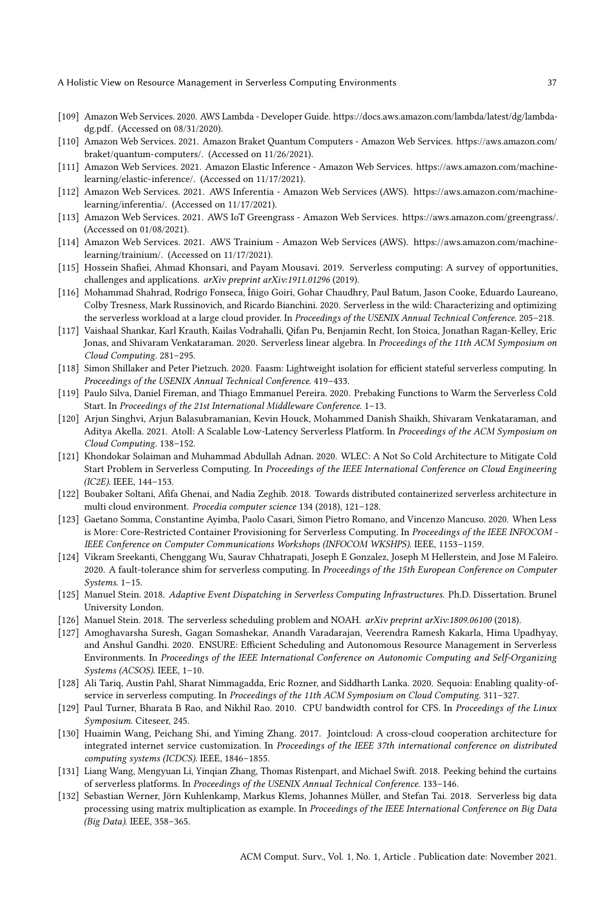- <span id="page-36-28"></span><span id="page-36-27"></span><span id="page-36-26"></span><span id="page-36-25"></span><span id="page-36-24"></span><span id="page-36-23"></span><span id="page-36-2"></span>[109] Amazon Web Services. 2020. AWS Lambda - Developer Guide. [https://docs.aws.amazon.com/lambda/latest/dg/lambda](https://docs.aws.amazon.com/lambda/latest/dg/lambda-dg.pdf)[dg.pdf.](https://docs.aws.amazon.com/lambda/latest/dg/lambda-dg.pdf) (Accessed on 08/31/2020).
- <span id="page-36-20"></span>[110] Amazon Web Services. 2021. Amazon Braket Quantum Computers - Amazon Web Services. [https://aws.amazon.com/](https://aws.amazon.com/braket/quantum-computers/) [braket/quantum-computers/.](https://aws.amazon.com/braket/quantum-computers/) (Accessed on 11/26/2021).
- <span id="page-36-19"></span>[111] Amazon Web Services. 2021. Amazon Elastic Inference - Amazon Web Services. [https://aws.amazon.com/machine](https://aws.amazon.com/machine-learning/elastic-inference/)[learning/elastic-inference/.](https://aws.amazon.com/machine-learning/elastic-inference/) (Accessed on 11/17/2021).
- <span id="page-36-17"></span>[112] Amazon Web Services. 2021. AWS Inferentia - Amazon Web Services (AWS). [https://aws.amazon.com/machine](https://aws.amazon.com/machine-learning/inferentia/)[learning/inferentia/.](https://aws.amazon.com/machine-learning/inferentia/) (Accessed on 11/17/2021).
- <span id="page-36-4"></span>[113] Amazon Web Services. 2021. AWS IoT Greengrass - Amazon Web Services. [https://aws.amazon.com/greengrass/.](https://aws.amazon.com/greengrass/) (Accessed on 01/08/2021).
- <span id="page-36-18"></span>[114] Amazon Web Services. 2021. AWS Trainium - Amazon Web Services (AWS). [https://aws.amazon.com/machine](https://aws.amazon.com/machine-learning/trainium/)[learning/trainium/.](https://aws.amazon.com/machine-learning/trainium/) (Accessed on 11/17/2021).
- <span id="page-36-0"></span>[115] Hossein Shafiei, Ahmad Khonsari, and Payam Mousavi. 2019. Serverless computing: A survey of opportunities, challenges and applications. arXiv preprint arXiv:1911.01296 (2019).
- <span id="page-36-8"></span>[116] Mohammad Shahrad, Rodrigo Fonseca, Íñigo Goiri, Gohar Chaudhry, Paul Batum, Jason Cooke, Eduardo Laureano, Colby Tresness, Mark Russinovich, and Ricardo Bianchini. 2020. Serverless in the wild: Characterizing and optimizing the serverless workload at a large cloud provider. In Proceedings of the USENIX Annual Technical Conference. 205-218.
- <span id="page-36-5"></span>[117] Vaishaal Shankar, Karl Krauth, Kailas Vodrahalli, Qifan Pu, Benjamin Recht, Ion Stoica, Jonathan Ragan-Kelley, Eric Jonas, and Shivaram Venkataraman. 2020. Serverless linear algebra. In Proceedings of the 11th ACM Symposium on Cloud Computing. 281–295.
- <span id="page-36-21"></span>[118] Simon Shillaker and Peter Pietzuch. 2020. Faasm: Lightweight isolation for efficient stateful serverless computing. In Proceedings of the USENIX Annual Technical Conference. 419–433.
- <span id="page-36-12"></span>[119] Paulo Silva, Daniel Fireman, and Thiago Emmanuel Pereira. 2020. Prebaking Functions to Warm the Serverless Cold Start. In Proceedings of the 21st International Middleware Conference. 1–13.
- <span id="page-36-7"></span>[120] Arjun Singhvi, Arjun Balasubramanian, Kevin Houck, Mohammed Danish Shaikh, Shivaram Venkataraman, and Aditya Akella. 2021. Atoll: A Scalable Low-Latency Serverless Platform. In Proceedings of the ACM Symposium on Cloud Computing. 138–152.
- <span id="page-36-11"></span>[121] Khondokar Solaiman and Muhammad Abdullah Adnan. 2020. WLEC: A Not So Cold Architecture to Mitigate Cold Start Problem in Serverless Computing. In Proceedings of the IEEE International Conference on Cloud Engineering (IC2E). IEEE, 144–153.
- <span id="page-36-16"></span>[122] Boubaker Soltani, Afifa Ghenai, and Nadia Zeghib. 2018. Towards distributed containerized serverless architecture in multi cloud environment. Procedia computer science 134 (2018), 121–128.
- <span id="page-36-13"></span>[123] Gaetano Somma, Constantine Ayimba, Paolo Casari, Simon Pietro Romano, and Vincenzo Mancuso. 2020. When Less is More: Core-Restricted Container Provisioning for Serverless Computing. In Proceedings of the IEEE INFOCOM -IEEE Conference on Computer Communications Workshops (INFOCOM WKSHPS). IEEE, 1153–1159.
- <span id="page-36-22"></span>[124] Vikram Sreekanti, Chenggang Wu, Saurav Chhatrapati, Joseph E Gonzalez, Joseph M Hellerstein, and Jose M Faleiro. 2020. A fault-tolerance shim for serverless computing. In Proceedings of the 15th European Conference on Computer Systems. 1–15.
- <span id="page-36-3"></span>[125] Manuel Stein. 2018. Adaptive Event Dispatching in Serverless Computing Infrastructures. Ph.D. Dissertation. Brunel University London.
- <span id="page-36-10"></span>[126] Manuel Stein. 2018. The serverless scheduling problem and NOAH. arXiv preprint arXiv:1809.06100 (2018).
- <span id="page-36-9"></span>[127] Amoghavarsha Suresh, Gagan Somashekar, Anandh Varadarajan, Veerendra Ramesh Kakarla, Hima Upadhyay, and Anshul Gandhi. 2020. ENSURE: Efficient Scheduling and Autonomous Resource Management in Serverless Environments. In Proceedings of the IEEE International Conference on Autonomic Computing and Self-Organizing Systems (ACSOS). IEEE, 1–10.
- [128] Ali Tariq, Austin Pahl, Sharat Nimmagadda, Eric Rozner, and Siddharth Lanka. 2020. Sequoia: Enabling quality-ofservice in serverless computing. In Proceedings of the 11th ACM Symposium on Cloud Computing. 311-327.
- <span id="page-36-14"></span>[129] Paul Turner, Bharata B Rao, and Nikhil Rao. 2010. CPU bandwidth control for CFS. In Proceedings of the Linux Symposium. Citeseer, 245.
- <span id="page-36-15"></span>[130] Huaimin Wang, Peichang Shi, and Yiming Zhang. 2017. Jointcloud: A cross-cloud cooperation architecture for integrated internet service customization. In Proceedings of the IEEE 37th international conference on distributed computing systems (ICDCS). IEEE, 1846–1855.
- <span id="page-36-1"></span>[131] Liang Wang, Mengyuan Li, Yinqian Zhang, Thomas Ristenpart, and Michael Swift. 2018. Peeking behind the curtains of serverless platforms. In Proceedings of the USENIX Annual Technical Conference. 133–146.
- <span id="page-36-6"></span>[132] Sebastian Werner, Jörn Kuhlenkamp, Markus Klems, Johannes Müller, and Stefan Tai. 2018. Serverless big data processing using matrix multiplication as example. In Proceedings of the IEEE International Conference on Big Data (Big Data). IEEE, 358–365.